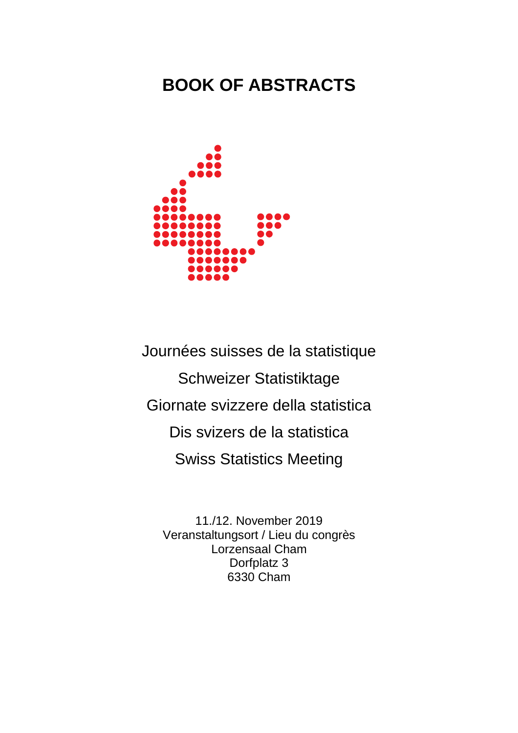# **BOOK OF ABSTRACTS**



Journées suisses de la statistique Schweizer Statistiktage Giornate svizzere della statistica Dis svizers de la statistica Swiss Statistics Meeting 11./12. November 2019

11./12. November 2019 Veranstaltungsort / Lieu du congrès Lorzensaal Cham Dorfplatz 3 6330 Cham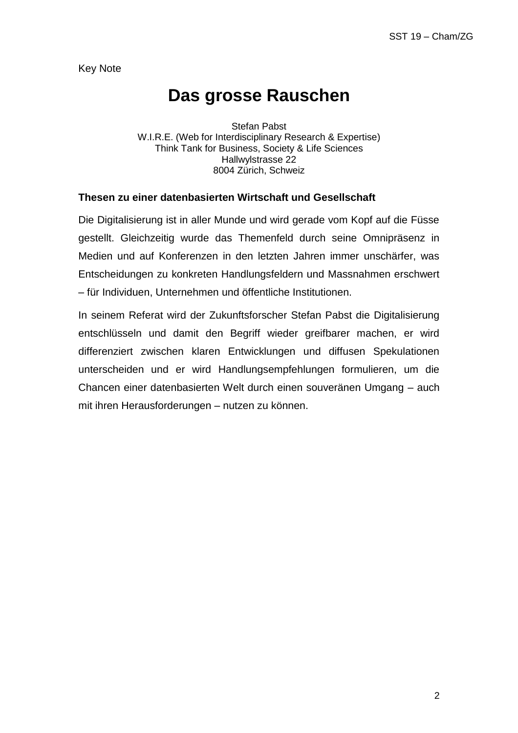Key Note

# **Das grosse Rauschen**

Stefan Pabst W.I.R.E. (Web for Interdisciplinary Research & Expertise) Think Tank for Business, Society & Life Sciences Hallwylstrasse 22 8004 Zürich, Schweiz

#### **Thesen zu einer datenbasierten Wirtschaft und Gesellschaft**

Die Digitalisierung ist in aller Munde und wird gerade vom Kopf auf die Füsse gestellt. Gleichzeitig wurde das Themenfeld durch seine Omnipräsenz in Medien und auf Konferenzen in den letzten Jahren immer unschärfer, was Entscheidungen zu konkreten Handlungsfeldern und Massnahmen erschwert – für Individuen, Unternehmen und öffentliche Institutionen.

In seinem Referat wird der Zukunftsforscher Stefan Pabst die Digitalisierung entschlüsseln und damit den Begriff wieder greifbarer machen, er wird differenziert zwischen klaren Entwicklungen und diffusen Spekulationen unterscheiden und er wird Handlungsempfehlungen formulieren, um die Chancen einer datenbasierten Welt durch einen souveränen Umgang – auch mit ihren Herausforderungen – nutzen zu können.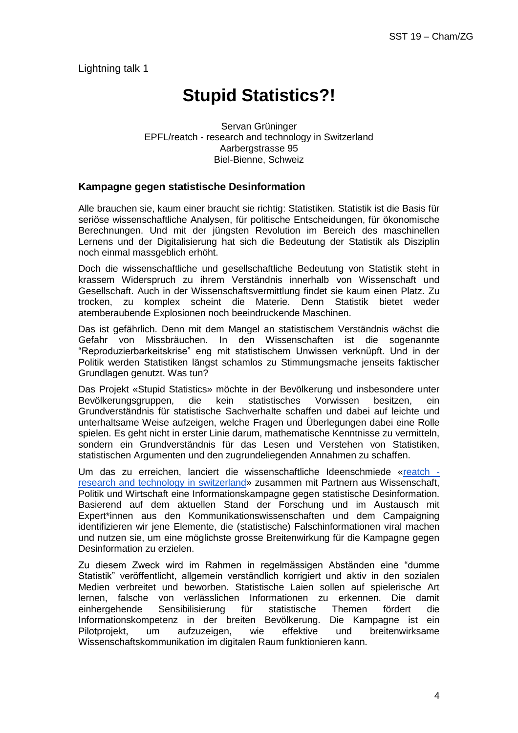Lightning talk 1

# **Stupid Statistics?!**

Servan Grüninger EPFL/reatch - research and technology in Switzerland Aarbergstrasse 95 Biel-Bienne, Schweiz

#### **Kampagne gegen statistische Desinformation**

Alle brauchen sie, kaum einer braucht sie richtig: Statistiken. Statistik ist die Basis für seriöse wissenschaftliche Analysen, für politische Entscheidungen, für ökonomische Berechnungen. Und mit der jüngsten Revolution im Bereich des maschinellen Lernens und der Digitalisierung hat sich die Bedeutung der Statistik als Disziplin noch einmal massgeblich erhöht.

Doch die wissenschaftliche und gesellschaftliche Bedeutung von Statistik steht in krassem Widerspruch zu ihrem Verständnis innerhalb von Wissenschaft und Gesellschaft. Auch in der Wissenschaftsvermittlung findet sie kaum einen Platz. Zu trocken, zu komplex scheint die Materie. Denn Statistik bietet weder atemberaubende Explosionen noch beeindruckende Maschinen.

Das ist gefährlich. Denn mit dem Mangel an statistischem Verständnis wächst die Gefahr von Missbräuchen. In den Wissenschaften ist die sogenannte "Reproduzierbarkeitskrise" eng mit statistischem Unwissen verknüpft. Und in der Politik werden Statistiken längst schamlos zu Stimmungsmache jenseits faktischer Grundlagen genutzt. Was tun?

Das Projekt «Stupid Statistics» möchte in der Bevölkerung und insbesondere unter Bevölkerungsgruppen, die kein statistisches Vorwissen besitzen, ein Grundverständnis für statistische Sachverhalte schaffen und dabei auf leichte und unterhaltsame Weise aufzeigen, welche Fragen und Überlegungen dabei eine Rolle spielen. Es geht nicht in erster Linie darum, mathematische Kenntnisse zu vermitteln, sondern ein Grundverständnis für das Lesen und Verstehen von Statistiken, statistischen Argumenten und den zugrundeliegenden Annahmen zu schaffen.

Um das zu erreichen, lanciert die wissenschaftliche Ideenschmiede [«reatch](http://www.reatch.ch/)  [research and technology in switzerland»](http://www.reatch.ch/) zusammen mit Partnern aus Wissenschaft, Politik und Wirtschaft eine Informationskampagne gegen statistische Desinformation. Basierend auf dem aktuellen Stand der Forschung und im Austausch mit Expert\*innen aus den Kommunikationswissenschaften und dem Campaigning identifizieren wir jene Elemente, die (statistische) Falschinformationen viral machen und nutzen sie, um eine möglichste grosse Breitenwirkung für die Kampagne gegen Desinformation zu erzielen.

Zu diesem Zweck wird im Rahmen in regelmässigen Abständen eine "dumme Statistik" veröffentlicht, allgemein verständlich korrigiert und aktiv in den sozialen Medien verbreitet und beworben. Statistische Laien sollen auf spielerische Art lernen, falsche von verlässlichen Informationen zu erkennen. Die damit einhergehende Sensibilisierung für statistische Themen fördert die Informationskompetenz in der breiten Bevölkerung. Die Kampagne ist ein Pilotprojekt, um aufzuzeigen, wie effektive und breitenwirksame Wissenschaftskommunikation im digitalen Raum funktionieren kann.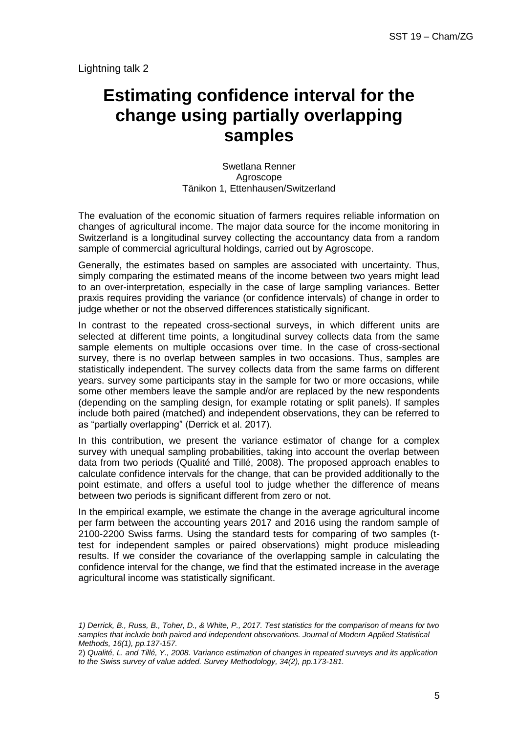Lightning talk 2

# **Estimating confidence interval for the change using partially overlapping samples**

Swetlana Renner Agroscope Tänikon 1, Ettenhausen/Switzerland

The evaluation of the economic situation of farmers requires reliable information on changes of agricultural income. The major data source for the income monitoring in Switzerland is a longitudinal survey collecting the accountancy data from a random sample of commercial agricultural holdings, carried out by Agroscope.

Generally, the estimates based on samples are associated with uncertainty. Thus, simply comparing the estimated means of the income between two years might lead to an over-interpretation, especially in the case of large sampling variances. Better praxis requires providing the variance (or confidence intervals) of change in order to judge whether or not the observed differences statistically significant.

In contrast to the repeated cross-sectional surveys, in which different units are selected at different time points, a longitudinal survey collects data from the same sample elements on multiple occasions over time. In the case of cross-sectional survey, there is no overlap between samples in two occasions. Thus, samples are statistically independent. The survey collects data from the same farms on different years. survey some participants stay in the sample for two or more occasions, while some other members leave the sample and/or are replaced by the new respondents (depending on the sampling design, for example rotating or split panels). If samples include both paired (matched) and independent observations, they can be referred to as "partially overlapping" (Derrick et al. 2017).

In this contribution, we present the variance estimator of change for a complex survey with unequal sampling probabilities, taking into account the overlap between data from two periods (Qualité and Tillé, 2008). The proposed approach enables to calculate confidence intervals for the change, that can be provided additionally to the point estimate, and offers a useful tool to judge whether the difference of means between two periods is significant different from zero or not.

In the empirical example, we estimate the change in the average agricultural income per farm between the accounting years 2017 and 2016 using the random sample of 2100-2200 Swiss farms. Using the standard tests for comparing of two samples (ttest for independent samples or paired observations) might produce misleading results. If we consider the covariance of the overlapping sample in calculating the confidence interval for the change, we find that the estimated increase in the average agricultural income was statistically significant.

*<sup>1)</sup> Derrick, B., Russ, B., Toher, D., & White, P., 2017. Test statistics for the comparison of means for two samples that include both paired and independent observations. Journal of Modern Applied Statistical Methods, 16(1), pp.137-157.*

<sup>2)</sup> *Qualité, L. and Tillé, Y., 2008. Variance estimation of changes in repeated surveys and its application to the Swiss survey of value added. Survey Methodology, 34(2), pp.173-181.*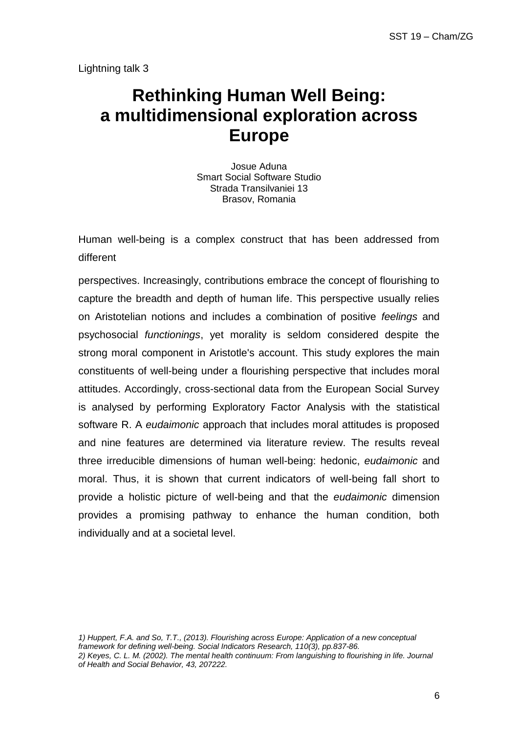Lightning talk 3

# **Rethinking Human Well Being: a multidimensional exploration across Europe**

Josue Aduna Smart Social Software Studio Strada Transilvaniei 13 Brasov, Romania

Human well-being is a complex construct that has been addressed from different

perspectives. Increasingly, contributions embrace the concept of flourishing to capture the breadth and depth of human life. This perspective usually relies on Aristotelian notions and includes a combination of positive *feelings* and psychosocial *functionings*, yet morality is seldom considered despite the strong moral component in Aristotle's account. This study explores the main constituents of well-being under a flourishing perspective that includes moral attitudes. Accordingly, cross-sectional data from the European Social Survey is analysed by performing Exploratory Factor Analysis with the statistical software R. A *eudaimonic* approach that includes moral attitudes is proposed and nine features are determined via literature review. The results reveal three irreducible dimensions of human well-being: hedonic, *eudaimonic* and moral. Thus, it is shown that current indicators of well-being fall short to provide a holistic picture of well-being and that the *eudaimonic* dimension provides a promising pathway to enhance the human condition, both individually and at a societal level.

*1) Huppert, F.A. and So, T.T., (2013). Flourishing across Europe: Application of a new conceptual framework for defining well-being. Social Indicators Research, 110(3), pp.837-86. 2) Keyes, C. L. M. (2002). The mental health continuum: From languishing to flourishing in life. Journal of Health and Social Behavior, 43, 207222.*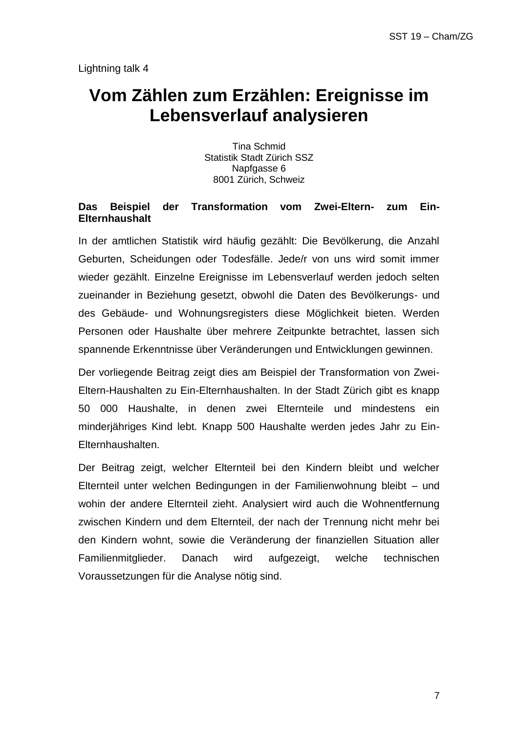# **Vom Zählen zum Erzählen: Ereignisse im Lebensverlauf analysieren**

Tina Schmid Statistik Stadt Zürich SSZ Napfgasse 6 8001 Zürich, Schweiz

### **Das Beispiel der Transformation vom Zwei-Eltern- zum Ein-Elternhaushalt**

In der amtlichen Statistik wird häufig gezählt: Die Bevölkerung, die Anzahl Geburten, Scheidungen oder Todesfälle. Jede/r von uns wird somit immer wieder gezählt. Einzelne Ereignisse im Lebensverlauf werden jedoch selten zueinander in Beziehung gesetzt, obwohl die Daten des Bevölkerungs- und des Gebäude- und Wohnungsregisters diese Möglichkeit bieten. Werden Personen oder Haushalte über mehrere Zeitpunkte betrachtet, lassen sich spannende Erkenntnisse über Veränderungen und Entwicklungen gewinnen.

Der vorliegende Beitrag zeigt dies am Beispiel der Transformation von Zwei-Eltern-Haushalten zu Ein-Elternhaushalten. In der Stadt Zürich gibt es knapp 50 000 Haushalte, in denen zwei Elternteile und mindestens ein minderjähriges Kind lebt. Knapp 500 Haushalte werden jedes Jahr zu Ein-Elternhaushalten.

Der Beitrag zeigt, welcher Elternteil bei den Kindern bleibt und welcher Elternteil unter welchen Bedingungen in der Familienwohnung bleibt – und wohin der andere Elternteil zieht. Analysiert wird auch die Wohnentfernung zwischen Kindern und dem Elternteil, der nach der Trennung nicht mehr bei den Kindern wohnt, sowie die Veränderung der finanziellen Situation aller Familienmitglieder. Danach wird aufgezeigt, welche technischen Voraussetzungen für die Analyse nötig sind.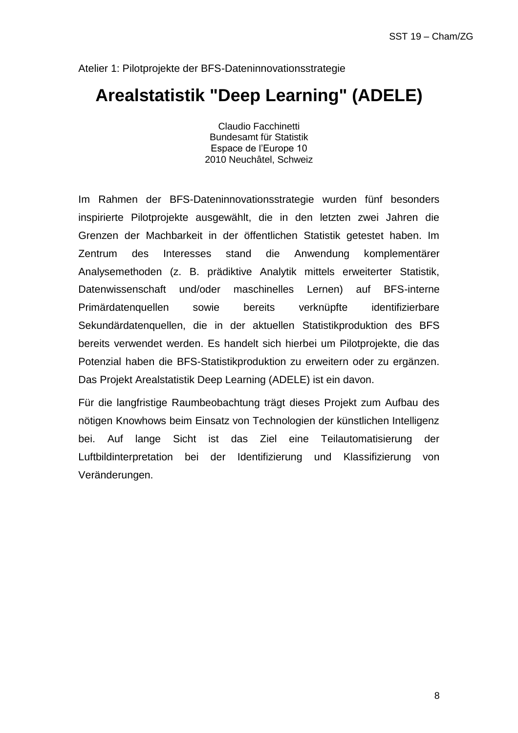## **Arealstatistik "Deep Learning" (ADELE)**

Claudio Facchinetti Bundesamt für Statistik Espace de l'Europe 10 2010 Neuchâtel, Schweiz

Im Rahmen der BFS-Dateninnovationsstrategie wurden fünf besonders inspirierte Pilotprojekte ausgewählt, die in den letzten zwei Jahren die Grenzen der Machbarkeit in der öffentlichen Statistik getestet haben. Im Zentrum des Interesses stand die Anwendung komplementärer Analysemethoden (z. B. prädiktive Analytik mittels erweiterter Statistik, Datenwissenschaft und/oder maschinelles Lernen) auf BFS-interne Primärdatenquellen sowie bereits verknüpfte identifizierbare Sekundärdatenquellen, die in der aktuellen Statistikproduktion des BFS bereits verwendet werden. Es handelt sich hierbei um Pilotprojekte, die das Potenzial haben die BFS-Statistikproduktion zu erweitern oder zu ergänzen. Das Projekt Arealstatistik Deep Learning (ADELE) ist ein davon.

Für die langfristige Raumbeobachtung trägt dieses Projekt zum Aufbau des nötigen Knowhows beim Einsatz von Technologien der künstlichen Intelligenz bei. Auf lange Sicht ist das Ziel eine Teilautomatisierung der Luftbildinterpretation bei der Identifizierung und Klassifizierung von Veränderungen.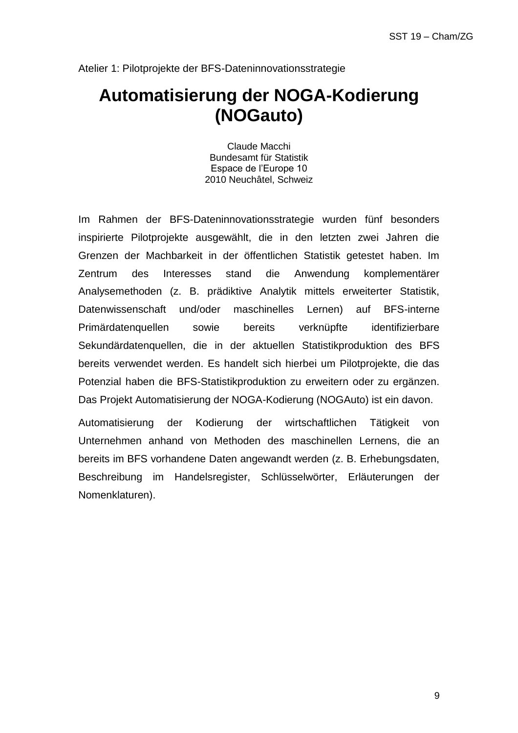# **Automatisierung der NOGA-Kodierung (NOGauto)**

Claude Macchi Bundesamt für Statistik Espace de l'Europe 10 2010 Neuchâtel, Schweiz

Im Rahmen der BFS-Dateninnovationsstrategie wurden fünf besonders inspirierte Pilotprojekte ausgewählt, die in den letzten zwei Jahren die Grenzen der Machbarkeit in der öffentlichen Statistik getestet haben. Im Zentrum des Interesses stand die Anwendung komplementärer Analysemethoden (z. B. prädiktive Analytik mittels erweiterter Statistik, Datenwissenschaft und/oder maschinelles Lernen) auf BFS-interne Primärdatenquellen sowie bereits verknüpfte identifizierbare Sekundärdatenquellen, die in der aktuellen Statistikproduktion des BFS bereits verwendet werden. Es handelt sich hierbei um Pilotprojekte, die das Potenzial haben die BFS-Statistikproduktion zu erweitern oder zu ergänzen. Das Projekt Automatisierung der NOGA-Kodierung (NOGAuto) ist ein davon.

Automatisierung der Kodierung der wirtschaftlichen Tätigkeit von Unternehmen anhand von Methoden des maschinellen Lernens, die an bereits im BFS vorhandene Daten angewandt werden (z. B. Erhebungsdaten, Beschreibung im Handelsregister, Schlüsselwörter, Erläuterungen der Nomenklaturen).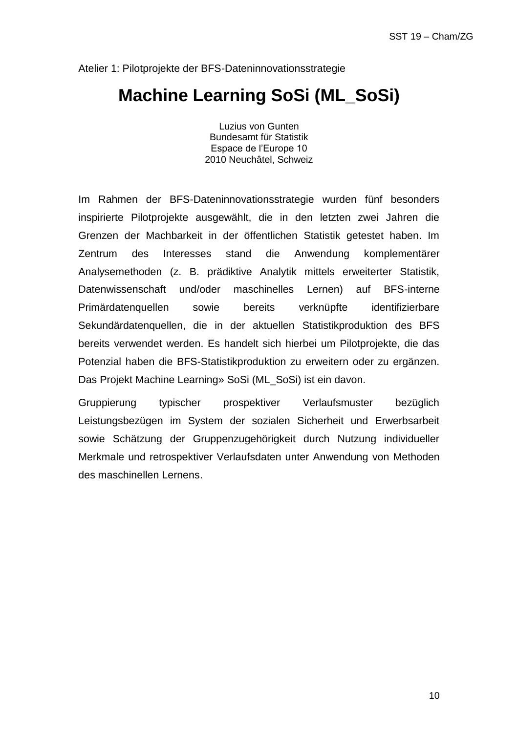# **Machine Learning SoSi (ML\_SoSi)**

Luzius von Gunten Bundesamt für Statistik Espace de l'Europe 10 2010 Neuchâtel, Schweiz

Im Rahmen der BFS-Dateninnovationsstrategie wurden fünf besonders inspirierte Pilotprojekte ausgewählt, die in den letzten zwei Jahren die Grenzen der Machbarkeit in der öffentlichen Statistik getestet haben. Im Zentrum des Interesses stand die Anwendung komplementärer Analysemethoden (z. B. prädiktive Analytik mittels erweiterter Statistik, Datenwissenschaft und/oder maschinelles Lernen) auf BFS-interne Primärdatenquellen sowie bereits verknüpfte identifizierbare Sekundärdatenquellen, die in der aktuellen Statistikproduktion des BFS bereits verwendet werden. Es handelt sich hierbei um Pilotprojekte, die das Potenzial haben die BFS-Statistikproduktion zu erweitern oder zu ergänzen. Das Projekt Machine Learning» SoSi (ML\_SoSi) ist ein davon.

Gruppierung typischer prospektiver Verlaufsmuster bezüglich Leistungsbezügen im System der sozialen Sicherheit und Erwerbsarbeit sowie Schätzung der Gruppenzugehörigkeit durch Nutzung individueller Merkmale und retrospektiver Verlaufsdaten unter Anwendung von Methoden des maschinellen Lernens.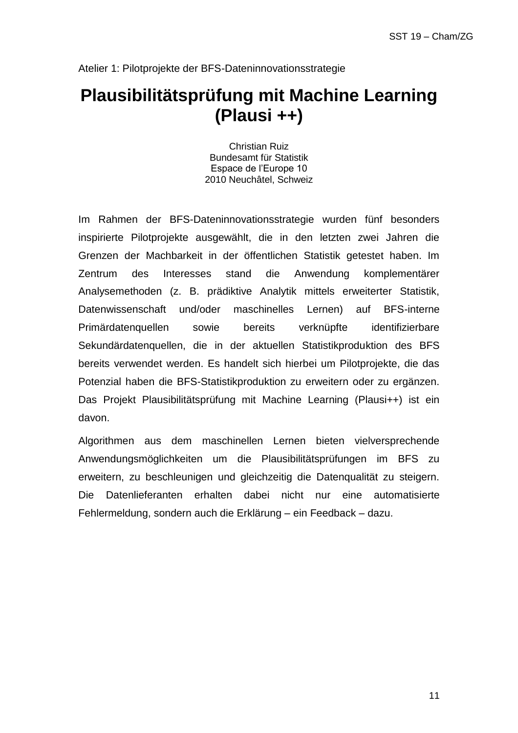# **Plausibilitätsprüfung mit Machine Learning (Plausi ++)**

Christian Ruiz Bundesamt für Statistik Espace de l'Europe 10 2010 Neuchâtel, Schweiz

Im Rahmen der BFS-Dateninnovationsstrategie wurden fünf besonders inspirierte Pilotprojekte ausgewählt, die in den letzten zwei Jahren die Grenzen der Machbarkeit in der öffentlichen Statistik getestet haben. Im Zentrum des Interesses stand die Anwendung komplementärer Analysemethoden (z. B. prädiktive Analytik mittels erweiterter Statistik, Datenwissenschaft und/oder maschinelles Lernen) auf BFS-interne Primärdatenquellen sowie bereits verknüpfte identifizierbare Sekundärdatenquellen, die in der aktuellen Statistikproduktion des BFS bereits verwendet werden. Es handelt sich hierbei um Pilotprojekte, die das Potenzial haben die BFS-Statistikproduktion zu erweitern oder zu ergänzen. Das Projekt Plausibilitätsprüfung mit Machine Learning (Plausi++) ist ein davon.

Algorithmen aus dem maschinellen Lernen bieten vielversprechende Anwendungsmöglichkeiten um die Plausibilitätsprüfungen im BFS zu erweitern, zu beschleunigen und gleichzeitig die Datenqualität zu steigern. Die Datenlieferanten erhalten dabei nicht nur eine automatisierte Fehlermeldung, sondern auch die Erklärung – ein Feedback – dazu.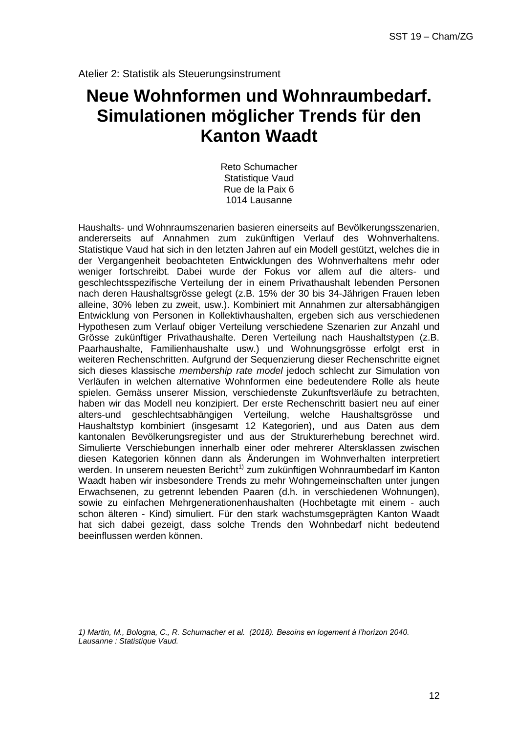Atelier 2: Statistik als Steuerungsinstrument

# **Neue Wohnformen und Wohnraumbedarf. Simulationen möglicher Trends für den Kanton Waadt**

Reto Schumacher Statistique Vaud Rue de la Paix 6 1014 Lausanne

Haushalts- und Wohnraumszenarien basieren einerseits auf Bevölkerungsszenarien, andererseits auf Annahmen zum zukünftigen Verlauf des Wohnverhaltens. Statistique Vaud hat sich in den letzten Jahren auf ein Modell gestützt, welches die in der Vergangenheit beobachteten Entwicklungen des Wohnverhaltens mehr oder weniger fortschreibt. Dabei wurde der Fokus vor allem auf die alters- und geschlechtsspezifische Verteilung der in einem Privathaushalt lebenden Personen nach deren Haushaltsgrösse gelegt (z.B. 15% der 30 bis 34-Jährigen Frauen leben alleine, 30% leben zu zweit, usw.). Kombiniert mit Annahmen zur altersabhängigen Entwicklung von Personen in Kollektivhaushalten, ergeben sich aus verschiedenen Hypothesen zum Verlauf obiger Verteilung verschiedene Szenarien zur Anzahl und Grösse zukünftiger Privathaushalte. Deren Verteilung nach Haushaltstypen (z.B. Paarhaushalte, Familienhaushalte usw.) und Wohnungsgrösse erfolgt erst in weiteren Rechenschritten. Aufgrund der Sequenzierung dieser Rechenschritte eignet sich dieses klassische *membership rate model* jedoch schlecht zur Simulation von Verläufen in welchen alternative Wohnformen eine bedeutendere Rolle als heute spielen. Gemäss unserer Mission, verschiedenste Zukunftsverläufe zu betrachten, haben wir das Modell neu konzipiert. Der erste Rechenschritt basiert neu auf einer alters-und geschlechtsabhängigen Verteilung, welche Haushaltsgrösse und Haushaltstyp kombiniert (insgesamt 12 Kategorien), und aus Daten aus dem kantonalen Bevölkerungsregister und aus der Strukturerhebung berechnet wird. Simulierte Verschiebungen innerhalb einer oder mehrerer Altersklassen zwischen diesen Kategorien können dann als Änderungen im Wohnverhalten interpretiert werden. In unserem neuesten Bericht<sup>1)</sup> zum zukünftigen Wohnraumbedarf im Kanton Waadt haben wir insbesondere Trends zu mehr Wohngemeinschaften unter jungen Erwachsenen, zu getrennt lebenden Paaren (d.h. in verschiedenen Wohnungen), sowie zu einfachen Mehrgenerationenhaushalten (Hochbetagte mit einem - auch schon älteren - Kind) simuliert. Für den stark wachstumsgeprägten Kanton Waadt hat sich dabei gezeigt, dass solche Trends den Wohnbedarf nicht bedeutend beeinflussen werden können.

*1) Martin, M., Bologna, C., R. Schumacher et al. (2018)[. Besoins en logement à l'horizon 2040.](http://www.scris.vd.ch/Data_Dir/ElementsDir/8839/1/F/04_Etude_Besoins-en-logement.pdf) Lausanne : Statistique Vaud.*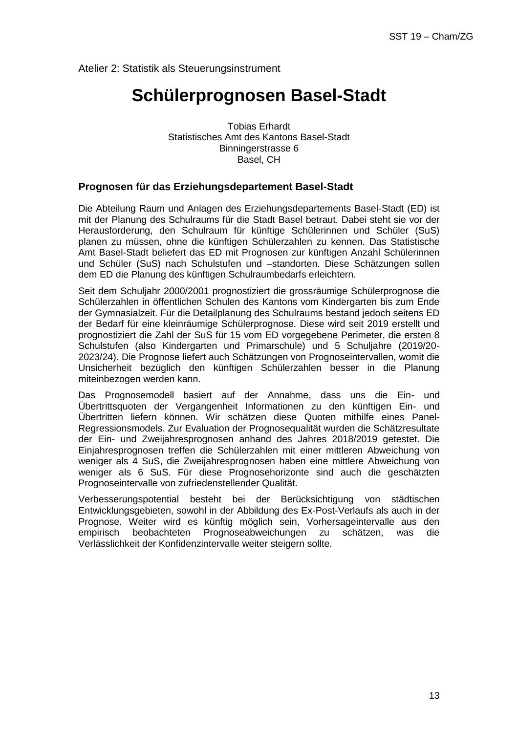Atelier 2: Statistik als Steuerungsinstrument

### **Schülerprognosen Basel-Stadt**

Tobias Erhardt Statistisches Amt des Kantons Basel-Stadt Binningerstrasse 6 Basel, CH

#### **Prognosen für das Erziehungsdepartement Basel-Stadt**

Die Abteilung Raum und Anlagen des Erziehungsdepartements Basel-Stadt (ED) ist mit der Planung des Schulraums für die Stadt Basel betraut. Dabei steht sie vor der Herausforderung, den Schulraum für künftige Schülerinnen und Schüler (SuS) planen zu müssen, ohne die künftigen Schülerzahlen zu kennen. Das Statistische Amt Basel-Stadt beliefert das ED mit Prognosen zur künftigen Anzahl Schülerinnen und Schüler (SuS) nach Schulstufen und –standorten. Diese Schätzungen sollen dem ED die Planung des künftigen Schulraumbedarfs erleichtern.

Seit dem Schuljahr 2000/2001 prognostiziert die grossräumige Schülerprognose die Schülerzahlen in öffentlichen Schulen des Kantons vom Kindergarten bis zum Ende der Gymnasialzeit. Für die Detailplanung des Schulraums bestand jedoch seitens ED der Bedarf für eine kleinräumige Schülerprognose. Diese wird seit 2019 erstellt und prognostiziert die Zahl der SuS für 15 vom ED vorgegebene Perimeter, die ersten 8 Schulstufen (also Kindergarten und Primarschule) und 5 Schuljahre (2019/20- 2023/24). Die Prognose liefert auch Schätzungen von Prognoseintervallen, womit die Unsicherheit bezüglich den künftigen Schülerzahlen besser in die Planung miteinbezogen werden kann.

Das Prognosemodell basiert auf der Annahme, dass uns die Ein- und Übertrittsquoten der Vergangenheit Informationen zu den künftigen Ein- und Übertritten liefern können. Wir schätzen diese Quoten mithilfe eines Panel-Regressionsmodels. Zur Evaluation der Prognosequalität wurden die Schätzresultate der Ein- und Zweijahresprognosen anhand des Jahres 2018/2019 getestet. Die Einjahresprognosen treffen die Schülerzahlen mit einer mittleren Abweichung von weniger als 4 SuS, die Zweijahresprognosen haben eine mittlere Abweichung von weniger als 6 SuS. Für diese Prognosehorizonte sind auch die geschätzten Prognoseintervalle von zufriedenstellender Qualität.

Verbesserungspotential besteht bei der Berücksichtigung von städtischen Entwicklungsgebieten, sowohl in der Abbildung des Ex-Post-Verlaufs als auch in der Prognose. Weiter wird es künftig möglich sein, Vorhersageintervalle aus den empirisch beobachteten Prognoseabweichungen zu schätzen, was die Verlässlichkeit der Konfidenzintervalle weiter steigern sollte.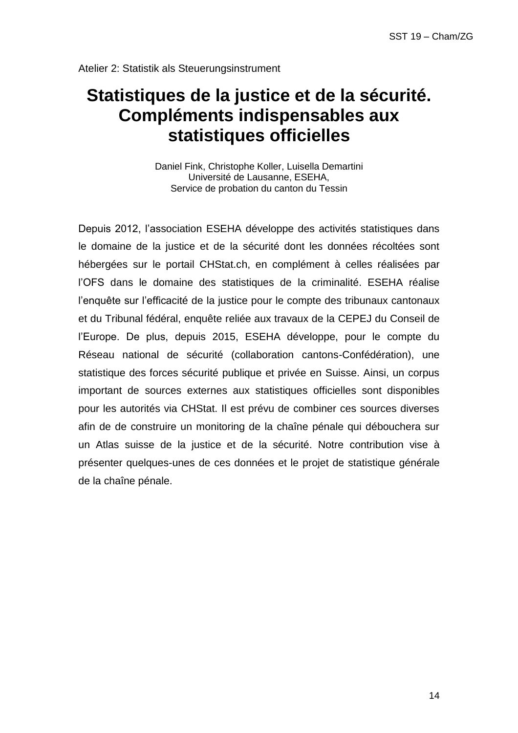# **Statistiques de la justice et de la sécurité. Compléments indispensables aux statistiques officielles**

Daniel Fink, Christophe Koller, Luisella Demartini Université de Lausanne, ESEHA, Service de probation du canton du Tessin

Depuis 2012, l'association ESEHA développe des activités statistiques dans le domaine de la justice et de la sécurité dont les données récoltées sont hébergées sur le portail CHStat.ch, en complément à celles réalisées par l'OFS dans le domaine des statistiques de la criminalité. ESEHA réalise l'enquête sur l'efficacité de la justice pour le compte des tribunaux cantonaux et du Tribunal fédéral, enquête reliée aux travaux de la CEPEJ du Conseil de l'Europe. De plus, depuis 2015, ESEHA développe, pour le compte du Réseau national de sécurité (collaboration cantons-Confédération), une statistique des forces sécurité publique et privée en Suisse. Ainsi, un corpus important de sources externes aux statistiques officielles sont disponibles pour les autorités via CHStat. Il est prévu de combiner ces sources diverses afin de de construire un monitoring de la chaîne pénale qui débouchera sur un Atlas suisse de la justice et de la sécurité. Notre contribution vise à présenter quelques-unes de ces données et le projet de statistique générale de la chaîne pénale.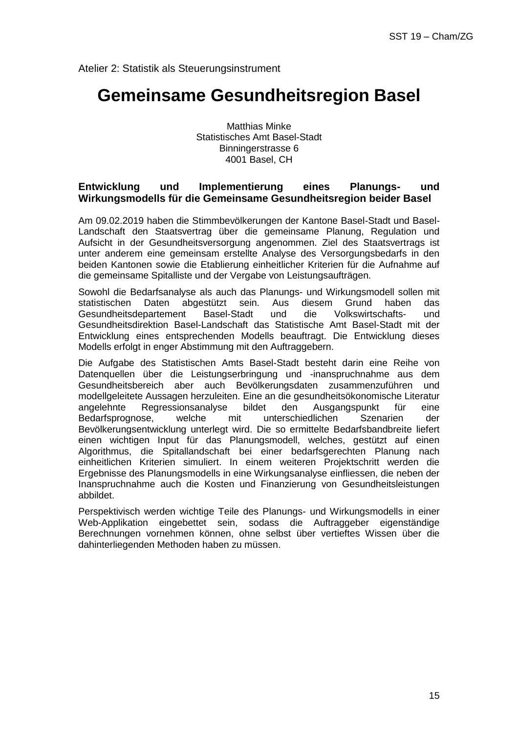Atelier 2: Statistik als Steuerungsinstrument

### **Gemeinsame Gesundheitsregion Basel**

Matthias Minke Statistisches Amt Basel-Stadt Binningerstrasse 6 4001 Basel, CH

#### **Entwicklung und Implementierung eines Planungs- und Wirkungsmodells für die Gemeinsame Gesundheitsregion beider Basel**

Am 09.02.2019 haben die Stimmbevölkerungen der Kantone Basel-Stadt und Basel-Landschaft den Staatsvertrag über die gemeinsame Planung, Regulation und Aufsicht in der Gesundheitsversorgung angenommen. Ziel des Staatsvertrags ist unter anderem eine gemeinsam erstellte Analyse des Versorgungsbedarfs in den beiden Kantonen sowie die Etablierung einheitlicher Kriterien für die Aufnahme auf die gemeinsame Spitalliste und der Vergabe von Leistungsaufträgen.

Sowohl die Bedarfsanalyse als auch das Planungs- und Wirkungsmodell sollen mit statistischen Daten abgestützt sein. Aus diesem Grund haben das Gesundheitsdepartement Basel-Stadt und die Volkswirtschafts- und Gesundheitsdirektion Basel-Landschaft das Statistische Amt Basel-Stadt mit der Entwicklung eines entsprechenden Modells beauftragt. Die Entwicklung dieses Modells erfolgt in enger Abstimmung mit den Auftraggebern.

Die Aufgabe des Statistischen Amts Basel-Stadt besteht darin eine Reihe von Datenquellen über die Leistungserbringung und -inanspruchnahme aus dem Gesundheitsbereich aber auch Bevölkerungsdaten zusammenzuführen und modellgeleitete Aussagen herzuleiten. Eine an die gesundheitsökonomische Literatur angelehnte Regressionsanalyse bildet den Ausgangspunkt für eine Bedarfsprognose, welche mit unterschiedlichen Szenarien der Bevölkerungsentwicklung unterlegt wird. Die so ermittelte Bedarfsbandbreite liefert einen wichtigen Input für das Planungsmodell, welches, gestützt auf einen Algorithmus, die Spitallandschaft bei einer bedarfsgerechten Planung nach einheitlichen Kriterien simuliert. In einem weiteren Projektschritt werden die Ergebnisse des Planungsmodells in eine Wirkungsanalyse einfliessen, die neben der Inanspruchnahme auch die Kosten und Finanzierung von Gesundheitsleistungen abbildet.

Perspektivisch werden wichtige Teile des Planungs- und Wirkungsmodells in einer Web-Applikation eingebettet sein, sodass die Auftraggeber eigenständige Berechnungen vornehmen können, ohne selbst über vertieftes Wissen über die dahinterliegenden Methoden haben zu müssen.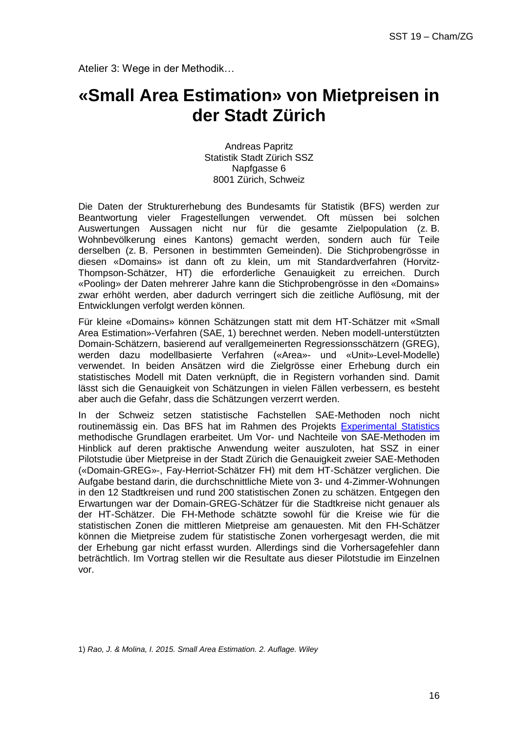# **«Small Area Estimation» von Mietpreisen in der Stadt Zürich**

Andreas Papritz Statistik Stadt Zürich SSZ Napfgasse 6 8001 Zürich, Schweiz

Die Daten der Strukturerhebung des Bundesamts für Statistik (BFS) werden zur Beantwortung vieler Fragestellungen verwendet. Oft müssen bei solchen Auswertungen Aussagen nicht nur für die gesamte Zielpopulation (z. B. Wohnbevölkerung eines Kantons) gemacht werden, sondern auch für Teile derselben (z. B. Personen in bestimmten Gemeinden). Die Stichprobengrösse in diesen «Domains» ist dann oft zu klein, um mit Standardverfahren (Horvitz-Thompson-Schätzer, HT) die erforderliche Genauigkeit zu erreichen. Durch «Pooling» der Daten mehrerer Jahre kann die Stichprobengrösse in den «Domains» zwar erhöht werden, aber dadurch verringert sich die zeitliche Auflösung, mit der Entwicklungen verfolgt werden können.

Für kleine «Domains» können Schätzungen statt mit dem HT-Schätzer mit «Small Area Estimation»-Verfahren (SAE, 1) berechnet werden. Neben modell-unterstützten Domain-Schätzern, basierend auf verallgemeinerten Regressionsschätzern (GREG), werden dazu modellbasierte Verfahren («Area»- und «Unit»-Level-Modelle) verwendet. In beiden Ansätzen wird die Zielgrösse einer Erhebung durch ein statistisches Modell mit Daten verknüpft, die in Registern vorhanden sind. Damit lässt sich die Genauigkeit von Schätzungen in vielen Fällen verbessern, es besteht aber auch die Gefahr, dass die Schätzungen verzerrt werden.

In der Schweiz setzen statistische Fachstellen SAE-Methoden noch nicht routinemässig ein. Das BFS hat im Rahmen des Projekts [Experimental Statistics](https://www.experimental.bfs.admin.ch/) methodische Grundlagen erarbeitet. Um Vor- und Nachteile von SAE-Methoden im Hinblick auf deren praktische Anwendung weiter auszuloten, hat SSZ in einer Pilotstudie über Mietpreise in der Stadt Zürich die Genauigkeit zweier SAE-Methoden («Domain-GREG»-, Fay-Herriot-Schätzer FH) mit dem HT-Schätzer verglichen. Die Aufgabe bestand darin, die durchschnittliche Miete von 3- und 4-Zimmer-Wohnungen in den 12 Stadtkreisen und rund 200 statistischen Zonen zu schätzen. Entgegen den Erwartungen war der Domain-GREG-Schätzer für die Stadtkreise nicht genauer als der HT-Schätzer. Die FH-Methode schätzte sowohl für die Kreise wie für die statistischen Zonen die mittleren Mietpreise am genauesten. Mit den FH-Schätzer können die Mietpreise zudem für statistische Zonen vorhergesagt werden, die mit der Erhebung gar nicht erfasst wurden. Allerdings sind die Vorhersagefehler dann beträchtlich. Im Vortrag stellen wir die Resultate aus dieser Pilotstudie im Einzelnen vor.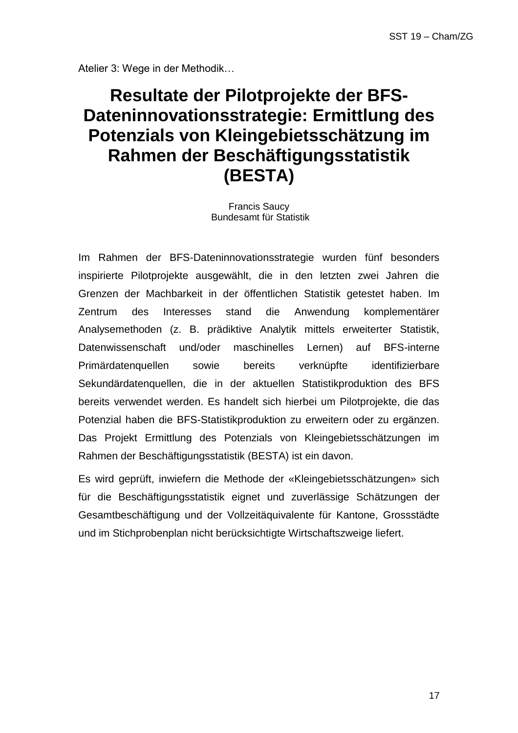# **Resultate der Pilotprojekte der BFS-Dateninnovationsstrategie: Ermittlung des Potenzials von Kleingebietsschätzung im Rahmen der Beschäftigungsstatistik (BESTA)**

Francis Saucy Bundesamt für Statistik

Im Rahmen der BFS-Dateninnovationsstrategie wurden fünf besonders inspirierte Pilotprojekte ausgewählt, die in den letzten zwei Jahren die Grenzen der Machbarkeit in der öffentlichen Statistik getestet haben. Im Zentrum des Interesses stand die Anwendung komplementärer Analysemethoden (z. B. prädiktive Analytik mittels erweiterter Statistik, Datenwissenschaft und/oder maschinelles Lernen) auf BFS-interne Primärdatenquellen sowie bereits verknüpfte identifizierbare Sekundärdatenquellen, die in der aktuellen Statistikproduktion des BFS bereits verwendet werden. Es handelt sich hierbei um Pilotprojekte, die das Potenzial haben die BFS-Statistikproduktion zu erweitern oder zu ergänzen. Das Projekt Ermittlung des Potenzials von Kleingebietsschätzungen im Rahmen der Beschäftigungsstatistik (BESTA) ist ein davon.

Es wird geprüft, inwiefern die Methode der «Kleingebietsschätzungen» sich für die Beschäftigungsstatistik eignet und zuverlässige Schätzungen der Gesamtbeschäftigung und der Vollzeitäquivalente für Kantone, Grossstädte und im Stichprobenplan nicht berücksichtigte Wirtschaftszweige liefert.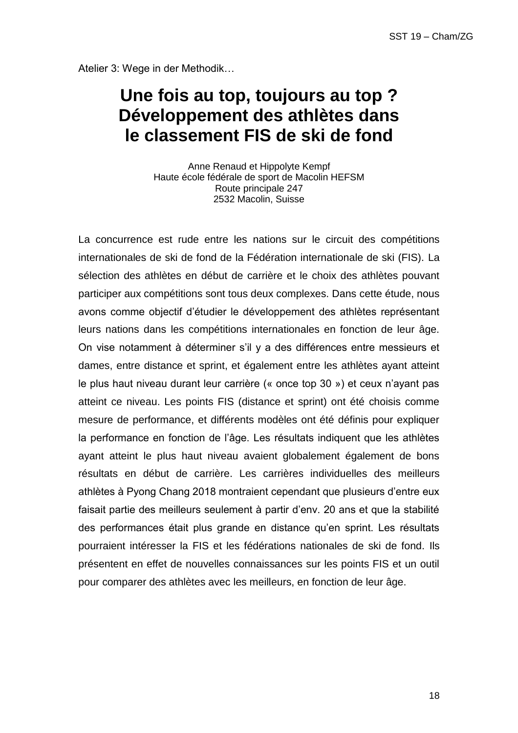# **Une fois au top, toujours au top ? Développement des athlètes dans le classement FIS de ski de fond**

Anne Renaud et Hippolyte Kempf Haute école fédérale de sport de Macolin HEFSM Route principale 247 2532 Macolin, Suisse

La concurrence est rude entre les nations sur le circuit des compétitions internationales de ski de fond de la Fédération internationale de ski (FIS). La sélection des athlètes en début de carrière et le choix des athlètes pouvant participer aux compétitions sont tous deux complexes. Dans cette étude, nous avons comme objectif d'étudier le développement des athlètes représentant leurs nations dans les compétitions internationales en fonction de leur âge. On vise notamment à déterminer s'il y a des différences entre messieurs et dames, entre distance et sprint, et également entre les athlètes ayant atteint le plus haut niveau durant leur carrière (« once top 30 ») et ceux n'ayant pas atteint ce niveau. Les points FIS (distance et sprint) ont été choisis comme mesure de performance, et différents modèles ont été définis pour expliquer la performance en fonction de l'âge. Les résultats indiquent que les athlètes ayant atteint le plus haut niveau avaient globalement également de bons résultats en début de carrière. Les carrières individuelles des meilleurs athlètes à Pyong Chang 2018 montraient cependant que plusieurs d'entre eux faisait partie des meilleurs seulement à partir d'env. 20 ans et que la stabilité des performances était plus grande en distance qu'en sprint. Les résultats pourraient intéresser la FIS et les fédérations nationales de ski de fond. Ils présentent en effet de nouvelles connaissances sur les points FIS et un outil pour comparer des athlètes avec les meilleurs, en fonction de leur âge.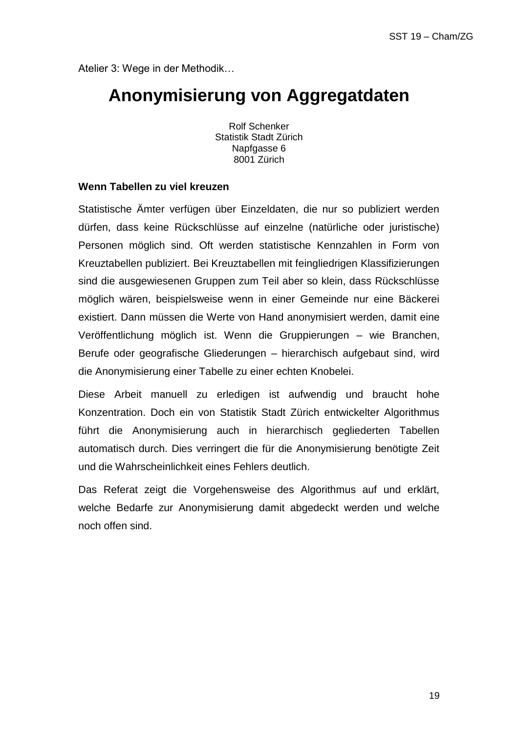## **Anonymisierung von Aggregatdaten**

Rolf Schenker Statistik Stadt Zürich Napfgasse 6 8001 Zürich

#### **Wenn Tabellen zu viel kreuzen**

Statistische Ämter verfügen über Einzeldaten, die nur so publiziert werden dürfen, dass keine Rückschlüsse auf einzelne (natürliche oder juristische) Personen möglich sind. Oft werden statistische Kennzahlen in Form von Kreuztabellen publiziert. Bei Kreuztabellen mit feingliedrigen Klassifizierungen sind die ausgewiesenen Gruppen zum Teil aber so klein, dass Rückschlüsse möglich wären, beispielsweise wenn in einer Gemeinde nur eine Bäckerei existiert. Dann müssen die Werte von Hand anonymisiert werden, damit eine Veröffentlichung möglich ist. Wenn die Gruppierungen – wie Branchen, Berufe oder geografische Gliederungen – hierarchisch aufgebaut sind, wird die Anonymisierung einer Tabelle zu einer echten Knobelei.

Diese Arbeit manuell zu erledigen ist aufwendig und braucht hohe Konzentration. Doch ein von Statistik Stadt Zürich entwickelter Algorithmus führt die Anonymisierung auch in hierarchisch gegliederten Tabellen automatisch durch. Dies verringert die für die Anonymisierung benötigte Zeit und die Wahrscheinlichkeit eines Fehlers deutlich.

Das Referat zeigt die Vorgehensweise des Algorithmus auf und erklärt, welche Bedarfe zur Anonymisierung damit abgedeckt werden und welche noch offen sind.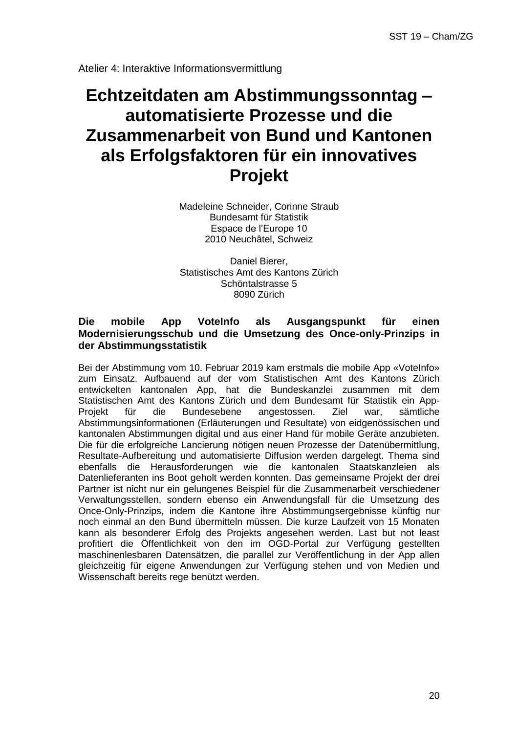# **Echtzeitdaten am Abstimmungssonntag – automatisierte Prozesse und die Zusammenarbeit von Bund und Kantonen als Erfolgsfaktoren für ein innovatives Projekt**

Madeleine Schneider, Corinne Straub Bundesamt für Statistik Espace de l'Europe 10 2010 Neuchâtel, Schweiz

Daniel Bierer, Statistisches Amt des Kantons Zürich Schöntalstrasse 5 8090 Zürich

#### **Die mobile App VoteInfo als Ausgangspunkt für einen Modernisierungsschub und die Umsetzung des Once-only-Prinzips in der Abstimmungsstatistik**

Bei der Abstimmung vom 10. Februar 2019 kam erstmals die mobile App «VoteInfo» zum Einsatz. Aufbauend auf der vom Statistischen Amt des Kantons Zürich entwickelten kantonalen App, hat die Bundeskanzlei zusammen mit dem Statistischen Amt des Kantons Zürich und dem Bundesamt für Statistik ein App-<br>Projekt i für i die Bundesebene angestossen. Ziel war. sämtliche Projekt für die Bundesebene angestossen. Ziel war, sämtliche Abstimmungsinformationen (Erläuterungen und Resultate) von eidgenössischen und kantonalen Abstimmungen digital und aus einer Hand für mobile Geräte anzubieten. Die für die erfolgreiche Lancierung nötigen neuen Prozesse der Datenübermittlung, Resultate-Aufbereitung und automatisierte Diffusion werden dargelegt. Thema sind ebenfalls die Herausforderungen wie die kantonalen Staatskanzleien als Datenlieferanten ins Boot geholt werden konnten. Das gemeinsame Projekt der drei Partner ist nicht nur ein gelungenes Beispiel für die Zusammenarbeit verschiedener Verwaltungsstellen, sondern ebenso ein Anwendungsfall für die Umsetzung des Once-Only-Prinzips, indem die Kantone ihre Abstimmungsergebnisse künftig nur noch einmal an den Bund übermitteln müssen. Die kurze Laufzeit von 15 Monaten kann als besonderer Erfolg des Projekts angesehen werden. Last but not least profitiert die Öffentlichkeit von den im OGD-Portal zur Verfügung gestellten maschinenlesbaren Datensätzen, die parallel zur Veröffentlichung in der App allen gleichzeitig für eigene Anwendungen zur Verfügung stehen und von Medien und Wissenschaft bereits rege benützt werden.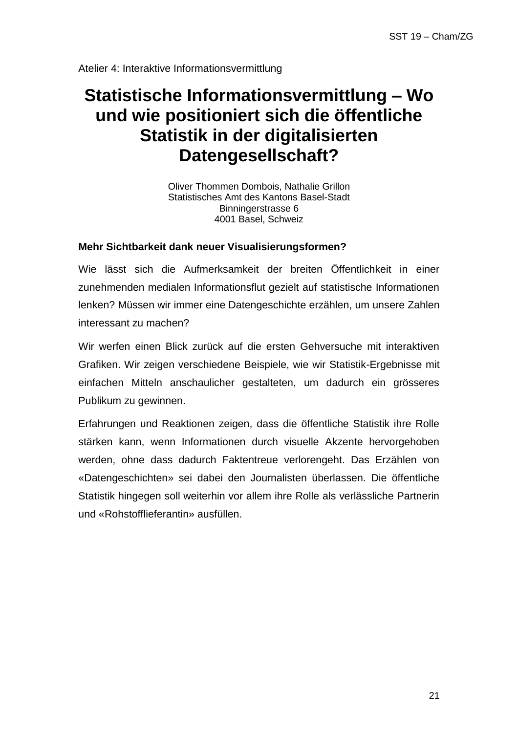# **Statistische Informationsvermittlung – Wo und wie positioniert sich die öffentliche Statistik in der digitalisierten Datengesellschaft?**

Oliver Thommen Dombois, Nathalie Grillon Statistisches Amt des Kantons Basel-Stadt Binningerstrasse 6 4001 Basel, Schweiz

#### **Mehr Sichtbarkeit dank neuer Visualisierungsformen?**

Wie lässt sich die Aufmerksamkeit der breiten Öffentlichkeit in einer zunehmenden medialen Informationsflut gezielt auf statistische Informationen lenken? Müssen wir immer eine Datengeschichte erzählen, um unsere Zahlen interessant zu machen?

Wir werfen einen Blick zurück auf die ersten Gehversuche mit interaktiven Grafiken. Wir zeigen verschiedene Beispiele, wie wir Statistik-Ergebnisse mit einfachen Mitteln anschaulicher gestalteten, um dadurch ein grösseres Publikum zu gewinnen.

Erfahrungen und Reaktionen zeigen, dass die öffentliche Statistik ihre Rolle stärken kann, wenn Informationen durch visuelle Akzente hervorgehoben werden, ohne dass dadurch Faktentreue verlorengeht. Das Erzählen von «Datengeschichten» sei dabei den Journalisten überlassen. Die öffentliche Statistik hingegen soll weiterhin vor allem ihre Rolle als verlässliche Partnerin und «Rohstofflieferantin» ausfüllen.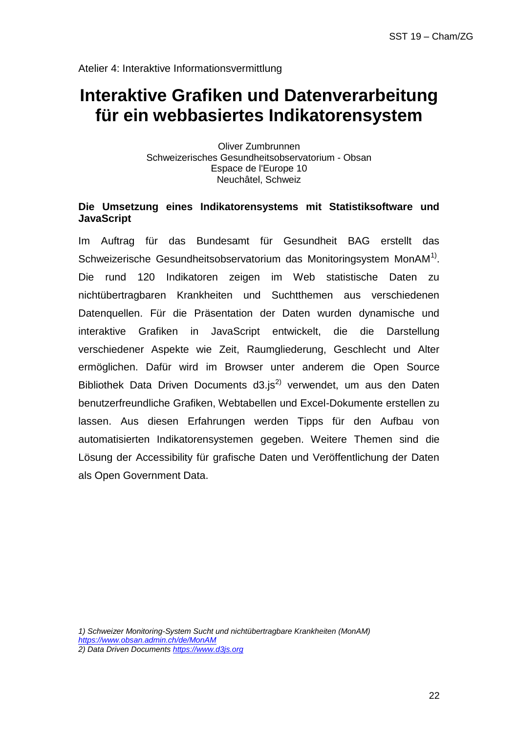Atelier 4: Interaktive Informationsvermittlung

# **Interaktive Grafiken und Datenverarbeitung für ein webbasiertes Indikatorensystem**

Oliver Zumbrunnen Schweizerisches Gesundheitsobservatorium - Obsan Espace de l'Europe 10 Neuchâtel, Schweiz

#### **Die Umsetzung eines Indikatorensystems mit Statistiksoftware und JavaScript**

Im Auftrag für das Bundesamt für Gesundheit BAG erstellt das Schweizerische Gesundheitsobservatorium das Monitoringsystem MonAM $^{1)}$ . Die rund 120 Indikatoren zeigen im Web statistische Daten zu nichtübertragbaren Krankheiten und Suchtthemen aus verschiedenen Datenquellen. Für die Präsentation der Daten wurden dynamische und interaktive Grafiken in JavaScript entwickelt, die die Darstellung verschiedener Aspekte wie Zeit, Raumgliederung, Geschlecht und Alter ermöglichen. Dafür wird im Browser unter anderem die Open Source Bibliothek Data Driven Documents  $d3.is^{2)}$  verwendet, um aus den Daten benutzerfreundliche Grafiken, Webtabellen und Excel-Dokumente erstellen zu lassen. Aus diesen Erfahrungen werden Tipps für den Aufbau von automatisierten Indikatorensystemen gegeben. Weitere Themen sind die Lösung der Accessibility für grafische Daten und Veröffentlichung der Daten als Open Government Data.

*1) Schweizer Monitoring-System Sucht und nichtübertragbare Krankheiten (MonAM) <https://www.obsan.admin.ch/de/MonAM> 2) Data Driven Document[s https://www.d3js.org](https://www.d3js.org/)*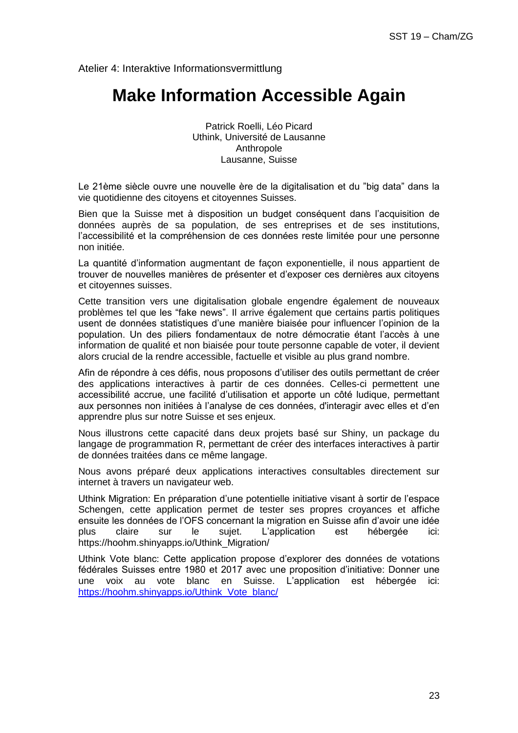Atelier 4: Interaktive Informationsvermittlung

### **Make Information Accessible Again**

Patrick Roelli, Léo Picard Uthink, Université de Lausanne Anthropole Lausanne, Suisse

Le 21ème siècle ouvre une nouvelle ère de la digitalisation et du "big data" dans la vie quotidienne des citoyens et citoyennes Suisses.

Bien que la Suisse met à disposition un budget conséquent dans l'acquisition de données auprès de sa population, de ses entreprises et de ses institutions, l'accessibilité et la compréhension de ces données reste limitée pour une personne non initiée.

La quantité d'information augmentant de façon exponentielle, il nous appartient de trouver de nouvelles manières de présenter et d'exposer ces dernières aux citoyens et citoyennes suisses.

Cette transition vers une digitalisation globale engendre également de nouveaux problèmes tel que les "fake news". Il arrive également que certains partis politiques usent de données statistiques d'une manière biaisée pour influencer l'opinion de la population. Un des piliers fondamentaux de notre démocratie étant l'accès à une information de qualité et non biaisée pour toute personne capable de voter, il devient alors crucial de la rendre accessible, factuelle et visible au plus grand nombre.

Afin de répondre à ces défis, nous proposons d'utiliser des outils permettant de créer des applications interactives à partir de ces données. Celles-ci permettent une accessibilité accrue, une facilité d'utilisation et apporte un côté ludique, permettant aux personnes non initiées à l'analyse de ces données, d'interagir avec elles et d'en apprendre plus sur notre Suisse et ses enjeux.

Nous illustrons cette capacité dans deux projets basé sur Shiny, un package du langage de programmation R, permettant de créer des interfaces interactives à partir de données traitées dans ce même langage.

Nous avons préparé deux applications interactives consultables directement sur internet à travers un navigateur web.

Uthink Migration: En préparation d'une potentielle initiative visant à sortir de l'espace Schengen, cette application permet de tester ses propres croyances et affiche ensuite les données de l'OFS concernant la migration en Suisse afin d'avoir une idée plus claire sur le sujet. L'application est hébergée ici: https://hoohm.shinyapps.io/Uthink\_Migration/

Uthink Vote blanc: Cette application propose d'explorer des données de votations fédérales Suisses entre 1980 et 2017 avec une proposition d'initiative: Donner une une voix au vote blanc en Suisse. L'application est hébergée ici: [https://hoohm.shinyapps.io/Uthink\\_Vote\\_blanc/](https://hoohm.shinyapps.io/Uthink_Vote_blanc/)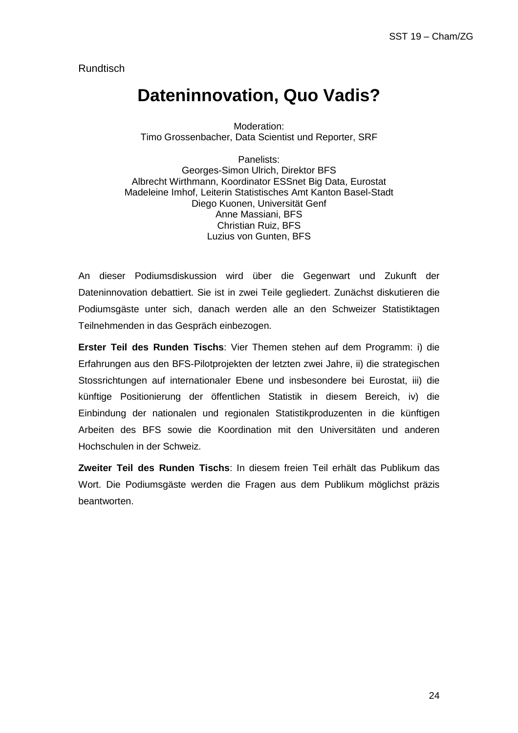**Rundtisch** 

### **Dateninnovation, Quo Vadis?**

Moderation: Timo Grossenbacher, Data Scientist und Reporter, SRF

Panelists: Georges-Simon Ulrich, Direktor BFS Albrecht Wirthmann, Koordinator ESSnet Big Data, Eurostat Madeleine Imhof, Leiterin Statistisches Amt Kanton Basel-Stadt Diego Kuonen, Universität Genf Anne Massiani, BFS Christian Ruiz, BFS Luzius von Gunten, BFS

An dieser Podiumsdiskussion wird über die Gegenwart und Zukunft der Dateninnovation debattiert. Sie ist in zwei Teile gegliedert. Zunächst diskutieren die Podiumsgäste unter sich, danach werden alle an den Schweizer Statistiktagen Teilnehmenden in das Gespräch einbezogen.

**Erster Teil des Runden Tischs**: Vier Themen stehen auf dem Programm: i) die Erfahrungen aus den BFS-Pilotprojekten der letzten zwei Jahre, ii) die strategischen Stossrichtungen auf internationaler Ebene und insbesondere bei Eurostat, iii) die künftige Positionierung der öffentlichen Statistik in diesem Bereich, iv) die Einbindung der nationalen und regionalen Statistikproduzenten in die künftigen Arbeiten des BFS sowie die Koordination mit den Universitäten und anderen Hochschulen in der Schweiz.

**Zweiter Teil des Runden Tischs**: In diesem freien Teil erhält das Publikum das Wort. Die Podiumsgäste werden die Fragen aus dem Publikum möglichst präzis beantworten.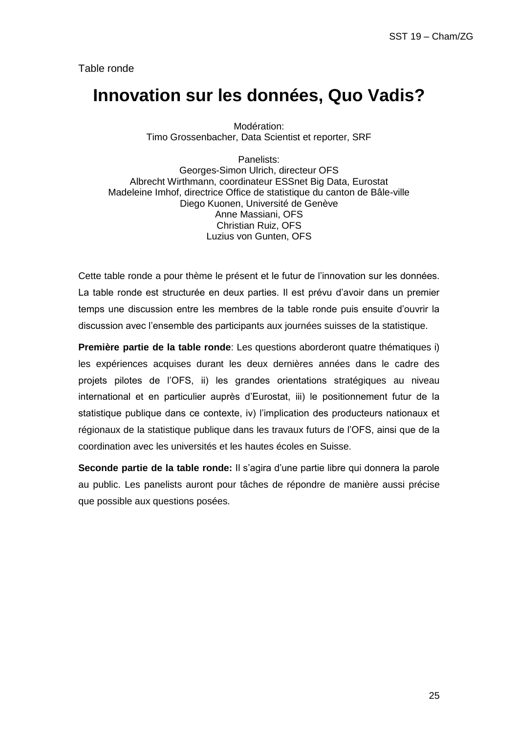Table ronde

### **Innovation sur les données, Quo Vadis?**

Modération: Timo Grossenbacher, Data Scientist et reporter, SRF

Panelists: Georges-Simon Ulrich, directeur OFS Albrecht Wirthmann, coordinateur ESSnet Big Data, Eurostat Madeleine Imhof, directrice Office de statistique du canton de Bâle-ville Diego Kuonen, Université de Genève Anne Massiani, OFS Christian Ruiz, OFS Luzius von Gunten, OFS

Cette table ronde a pour thème le présent et le futur de l'innovation sur les données. La table ronde est structurée en deux parties. Il est prévu d'avoir dans un premier temps une discussion entre les membres de la table ronde puis ensuite d'ouvrir la discussion avec l'ensemble des participants aux journées suisses de la statistique.

**Première partie de la table ronde**: Les questions aborderont quatre thématiques i) les expériences acquises durant les deux dernières années dans le cadre des projets pilotes de l'OFS, ii) les grandes orientations stratégiques au niveau international et en particulier auprès d'Eurostat, iii) le positionnement futur de la statistique publique dans ce contexte, iv) l'implication des producteurs nationaux et régionaux de la statistique publique dans les travaux futurs de l'OFS, ainsi que de la coordination avec les universités et les hautes écoles en Suisse.

**Seconde partie de la table ronde:** Il s'agira d'une partie libre qui donnera la parole au public. Les panelists auront pour tâches de répondre de manière aussi précise que possible aux questions posées.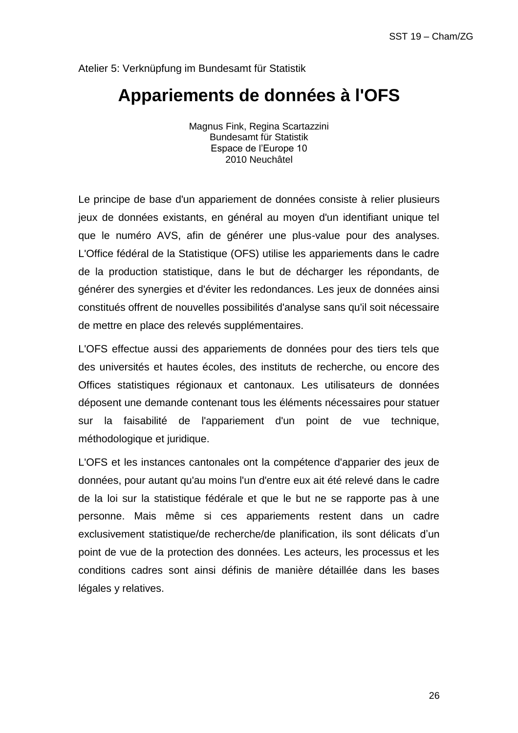### **Appariements de données à l'OFS**

Magnus Fink, Regina Scartazzini Bundesamt für Statistik Espace de l'Europe 10 2010 Neuchâtel

Le principe de base d'un appariement de données consiste à relier plusieurs jeux de données existants, en général au moyen d'un identifiant unique tel que le numéro AVS, afin de générer une plus-value pour des analyses. L'Office fédéral de la Statistique (OFS) utilise les appariements dans le cadre de la production statistique, dans le but de décharger les répondants, de générer des synergies et d'éviter les redondances. Les jeux de données ainsi constitués offrent de nouvelles possibilités d'analyse sans qu'il soit nécessaire de mettre en place des relevés supplémentaires.

L'OFS effectue aussi des appariements de données pour des tiers tels que des universités et hautes écoles, des instituts de recherche, ou encore des Offices statistiques régionaux et cantonaux. Les utilisateurs de données déposent une demande contenant tous les éléments nécessaires pour statuer sur la faisabilité de l'appariement d'un point de vue technique, méthodologique et juridique.

L'OFS et les instances cantonales ont la compétence d'apparier des jeux de données, pour autant qu'au moins l'un d'entre eux ait été relevé dans le cadre de la loi sur la statistique fédérale et que le but ne se rapporte pas à une personne. Mais même si ces appariements restent dans un cadre exclusivement statistique/de recherche/de planification, ils sont délicats d'un point de vue de la protection des données. Les acteurs, les processus et les conditions cadres sont ainsi définis de manière détaillée dans les bases légales y relatives.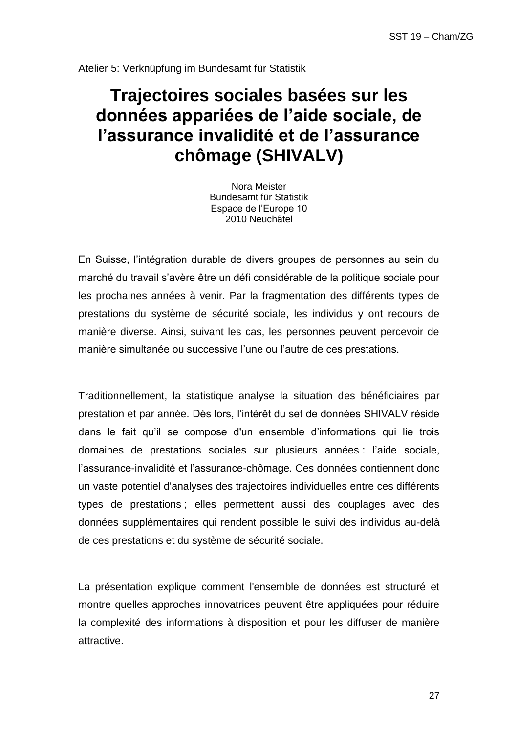# **Trajectoires sociales basées sur les données appariées de l'aide sociale, de l'assurance invalidité et de l'assurance chômage (SHIVALV)**

Nora Meister Bundesamt für Statistik Espace de l'Europe 10 2010 Neuchâtel

En Suisse, l'intégration durable de divers groupes de personnes au sein du marché du travail s'avère être un défi considérable de la politique sociale pour les prochaines années à venir. Par la fragmentation des différents types de prestations du système de sécurité sociale, les individus y ont recours de manière diverse. Ainsi, suivant les cas, les personnes peuvent percevoir de manière simultanée ou successive l'une ou l'autre de ces prestations.

Traditionnellement, la statistique analyse la situation des bénéficiaires par prestation et par année. Dès lors, l'intérêt du set de données SHIVALV réside dans le fait qu'il se compose d'un ensemble d'informations qui lie trois domaines de prestations sociales sur plusieurs années : l'aide sociale, l'assurance-invalidité et l'assurance-chômage. Ces données contiennent donc un vaste potentiel d'analyses des trajectoires individuelles entre ces différents types de prestations ; elles permettent aussi des couplages avec des données supplémentaires qui rendent possible le suivi des individus au-delà de ces prestations et du système de sécurité sociale.

La présentation explique comment l'ensemble de données est structuré et montre quelles approches innovatrices peuvent être appliquées pour réduire la complexité des informations à disposition et pour les diffuser de manière attractive.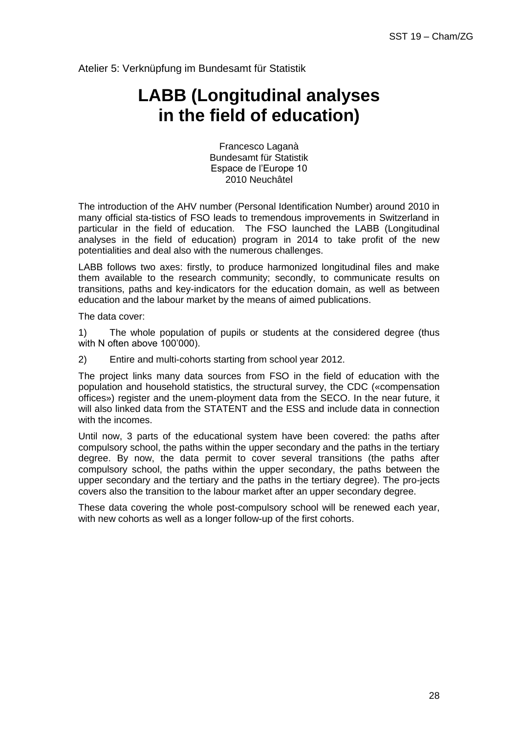# **LABB (Longitudinal analyses in the field of education)**

Francesco Laganà Bundesamt für Statistik Espace de l'Europe 10 2010 Neuchâtel

The introduction of the AHV number (Personal Identification Number) around 2010 in many official sta-tistics of FSO leads to tremendous improvements in Switzerland in particular in the field of education. The FSO launched the LABB (Longitudinal analyses in the field of education) program in 2014 to take profit of the new potentialities and deal also with the numerous challenges.

LABB follows two axes: firstly, to produce harmonized longitudinal files and make them available to the research community; secondly, to communicate results on transitions, paths and key-indicators for the education domain, as well as between education and the labour market by the means of aimed publications.

The data cover:

1) The whole population of pupils or students at the considered degree (thus with N often above 100'000).

2) Entire and multi-cohorts starting from school year 2012.

The project links many data sources from FSO in the field of education with the population and household statistics, the structural survey, the CDC («compensation offices») register and the unem-ployment data from the SECO. In the near future, it will also linked data from the STATENT and the ESS and include data in connection with the incomes.

Until now, 3 parts of the educational system have been covered: the paths after compulsory school, the paths within the upper secondary and the paths in the tertiary degree. By now, the data permit to cover several transitions (the paths after compulsory school, the paths within the upper secondary, the paths between the upper secondary and the tertiary and the paths in the tertiary degree). The pro-jects covers also the transition to the labour market after an upper secondary degree.

These data covering the whole post-compulsory school will be renewed each year, with new cohorts as well as a longer follow-up of the first cohorts.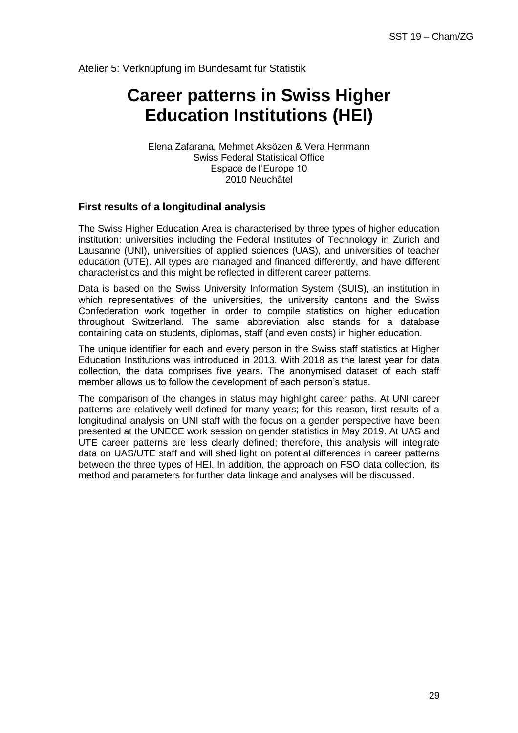# **Career patterns in Swiss Higher Education Institutions (HEI)**

Elena Zafarana, Mehmet Aksözen & Vera Herrmann Swiss Federal Statistical Office Espace de l'Europe 10 2010 Neuchâtel

#### **First results of a longitudinal analysis**

The Swiss Higher Education Area is characterised by three types of higher education institution: universities including the Federal Institutes of Technology in Zurich and Lausanne (UNI), universities of applied sciences (UAS), and universities of teacher education (UTE). All types are managed and financed differently, and have different characteristics and this might be reflected in different career patterns.

Data is based on the Swiss University Information System (SUIS), an institution in which representatives of the universities, the university cantons and the Swiss Confederation work together in order to compile statistics on higher education throughout Switzerland. The same abbreviation also stands for a database containing data on students, diplomas, staff (and even costs) in higher education.

The unique identifier for each and every person in the Swiss staff statistics at Higher Education Institutions was introduced in 2013. With 2018 as the latest year for data collection, the data comprises five years. The anonymised dataset of each staff member allows us to follow the development of each person's status.

The comparison of the changes in status may highlight career paths. At UNI career patterns are relatively well defined for many years; for this reason, first results of a longitudinal analysis on UNI staff with the focus on a gender perspective have been presented at the UNECE work session on gender statistics in May 2019. At UAS and UTE career patterns are less clearly defined; therefore, this analysis will integrate data on UAS/UTE staff and will shed light on potential differences in career patterns between the three types of HEI. In addition, the approach on FSO data collection, its method and parameters for further data linkage and analyses will be discussed.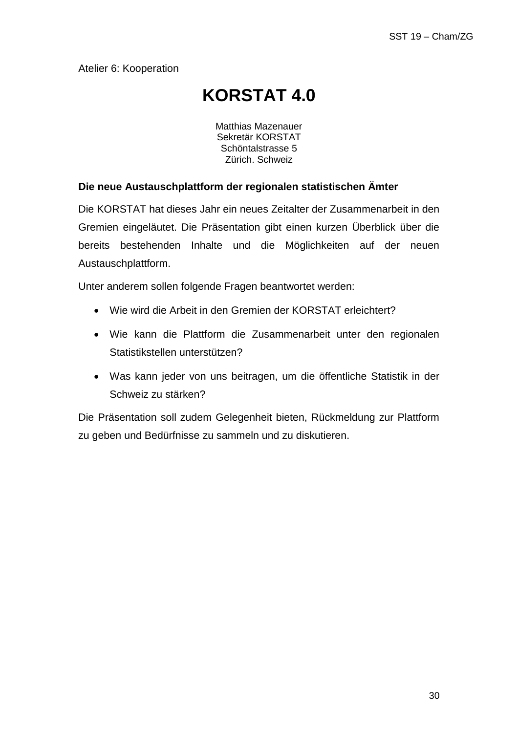# **KORSTAT 4.0**

Matthias Mazenauer Sekretär KORSTAT Schöntalstrasse 5 Zürich. Schweiz

### **Die neue Austauschplattform der regionalen statistischen Ämter**

Die KORSTAT hat dieses Jahr ein neues Zeitalter der Zusammenarbeit in den Gremien eingeläutet. Die Präsentation gibt einen kurzen Überblick über die bereits bestehenden Inhalte und die Möglichkeiten auf der neuen Austauschplattform.

Unter anderem sollen folgende Fragen beantwortet werden:

- Wie wird die Arbeit in den Gremien der KORSTAT erleichtert?
- Wie kann die Plattform die Zusammenarbeit unter den regionalen Statistikstellen unterstützen?
- Was kann jeder von uns beitragen, um die öffentliche Statistik in der Schweiz zu stärken?

Die Präsentation soll zudem Gelegenheit bieten, Rückmeldung zur Plattform zu geben und Bedürfnisse zu sammeln und zu diskutieren.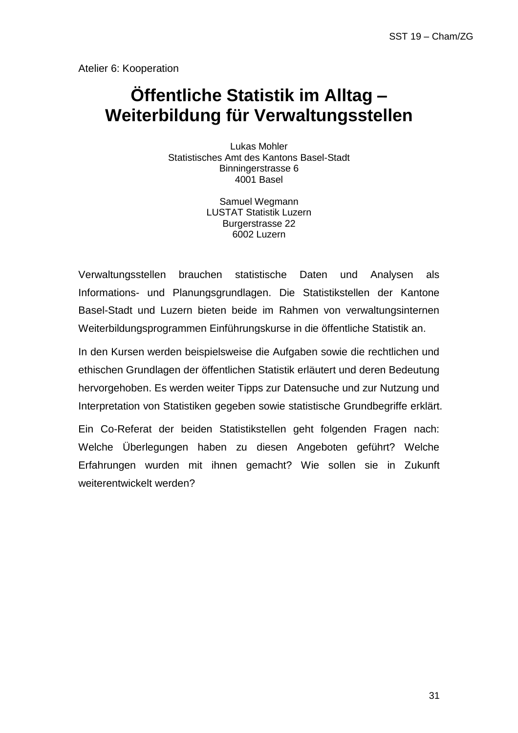# **Öffentliche Statistik im Alltag – Weiterbildung für Verwaltungsstellen**

Lukas Mohler Statistisches Amt des Kantons Basel-Stadt Binningerstrasse 6 4001 Basel

> Samuel Wegmann LUSTAT Statistik Luzern Burgerstrasse 22 6002 Luzern

Verwaltungsstellen brauchen statistische Daten und Analysen als Informations- und Planungsgrundlagen. Die Statistikstellen der Kantone Basel-Stadt und Luzern bieten beide im Rahmen von verwaltungsinternen Weiterbildungsprogrammen Einführungskurse in die öffentliche Statistik an.

In den Kursen werden beispielsweise die Aufgaben sowie die rechtlichen und ethischen Grundlagen der öffentlichen Statistik erläutert und deren Bedeutung hervorgehoben. Es werden weiter Tipps zur Datensuche und zur Nutzung und Interpretation von Statistiken gegeben sowie statistische Grundbegriffe erklärt.

Ein Co-Referat der beiden Statistikstellen geht folgenden Fragen nach: Welche Überlegungen haben zu diesen Angeboten geführt? Welche Erfahrungen wurden mit ihnen gemacht? Wie sollen sie in Zukunft weiterentwickelt werden?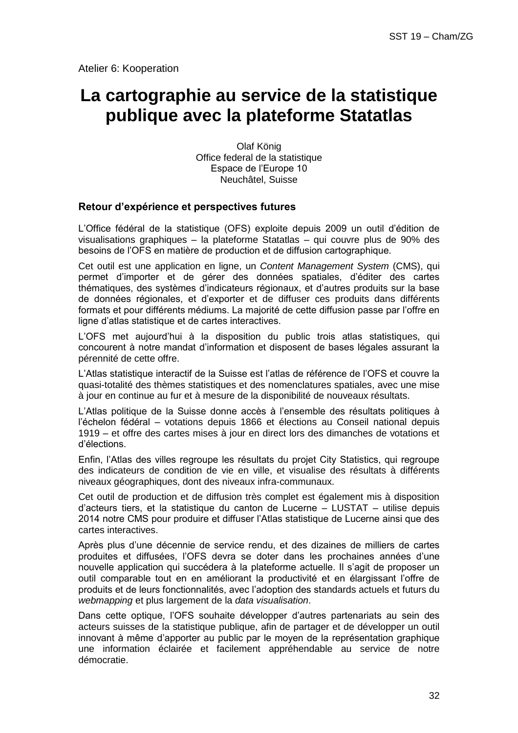## **La cartographie au service de la statistique publique avec la plateforme Statatlas**

Olaf König Office federal de la statistique Espace de l'Europe 10 Neuchâtel, Suisse

#### **Retour d'expérience et perspectives futures**

L'Office fédéral de la statistique (OFS) exploite depuis 2009 un outil d'édition de visualisations graphiques – la plateforme Statatlas – qui couvre plus de 90% des besoins de l'OFS en matière de production et de diffusion cartographique.

Cet outil est une application en ligne, un *Content Management System* (CMS), qui permet d'importer et de gérer des données spatiales, d'éditer des cartes thématiques, des systèmes d'indicateurs régionaux, et d'autres produits sur la base de données régionales, et d'exporter et de diffuser ces produits dans différents formats et pour différents médiums. La majorité de cette diffusion passe par l'offre en ligne d'atlas statistique et de cartes interactives.

L'OFS met aujourd'hui à la disposition du public trois atlas statistiques, qui concourent à notre mandat d'information et disposent de bases légales assurant la pérennité de cette offre.

L'Atlas statistique interactif de la Suisse est l'atlas de référence de l'OFS et couvre la quasi-totalité des thèmes statistiques et des nomenclatures spatiales, avec une mise à jour en continue au fur et à mesure de la disponibilité de nouveaux résultats.

L'Atlas politique de la Suisse donne accès à l'ensemble des résultats politiques à l'échelon fédéral – votations depuis 1866 et élections au Conseil national depuis 1919 – et offre des cartes mises à jour en direct lors des dimanches de votations et d'élections.

Enfin, l'Atlas des villes regroupe les résultats du projet City Statistics, qui regroupe des indicateurs de condition de vie en ville, et visualise des résultats à différents niveaux géographiques, dont des niveaux infra-communaux.

Cet outil de production et de diffusion très complet est également mis à disposition d'acteurs tiers, et la statistique du canton de Lucerne – LUSTAT – utilise depuis 2014 notre CMS pour produire et diffuser l'Atlas statistique de Lucerne ainsi que des cartes interactives.

Après plus d'une décennie de service rendu, et des dizaines de milliers de cartes produites et diffusées, l'OFS devra se doter dans les prochaines années d'une nouvelle application qui succédera à la plateforme actuelle. Il s'agit de proposer un outil comparable tout en en améliorant la productivité et en élargissant l'offre de produits et de leurs fonctionnalités, avec l'adoption des standards actuels et futurs du *webmapping* et plus largement de la *data visualisation*.

Dans cette optique, l'OFS souhaite développer d'autres partenariats au sein des acteurs suisses de la statistique publique, afin de partager et de développer un outil innovant à même d'apporter au public par le moyen de la représentation graphique une information éclairée et facilement appréhendable au service de notre démocratie.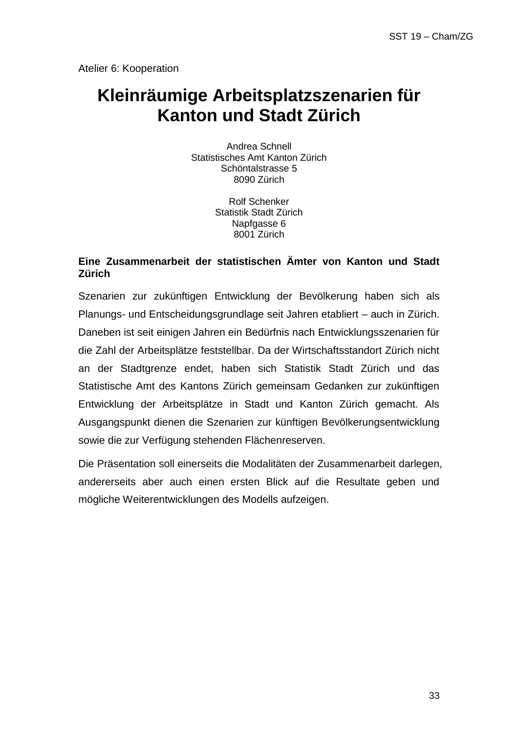# **Kleinräumige Arbeitsplatzszenarien für Kanton und Stadt Zürich**

Andrea Schnell Statistisches Amt Kanton Zürich Schöntalstrasse 5 8090 Zürich

> Rolf Schenker Statistik Stadt Zürich Napfgasse 6 8001 Zürich

### **Eine Zusammenarbeit der statistischen Ämter von Kanton und Stadt Zürich**

Szenarien zur zukünftigen Entwicklung der Bevölkerung haben sich als Planungs- und Entscheidungsgrundlage seit Jahren etabliert – auch in Zürich. Daneben ist seit einigen Jahren ein Bedürfnis nach Entwicklungsszenarien für die Zahl der Arbeitsplätze feststellbar. Da der Wirtschaftsstandort Zürich nicht an der Stadtgrenze endet, haben sich Statistik Stadt Zürich und das Statistische Amt des Kantons Zürich gemeinsam Gedanken zur zukünftigen Entwicklung der Arbeitsplätze in Stadt und Kanton Zürich gemacht. Als Ausgangspunkt dienen die Szenarien zur künftigen Bevölkerungsentwicklung sowie die zur Verfügung stehenden Flächenreserven.

Die Präsentation soll einerseits die Modalitäten der Zusammenarbeit darlegen, andererseits aber auch einen ersten Blick auf die Resultate geben und mögliche Weiterentwicklungen des Modells aufzeigen.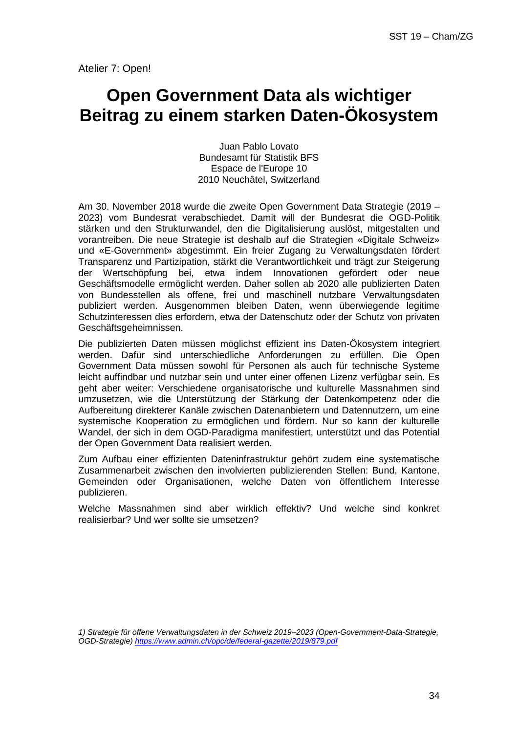### **Open Government Data als wichtiger Beitrag zu einem starken Daten-Ökosystem**

Juan Pablo Lovato Bundesamt für Statistik BFS Espace de l'Europe 10 2010 Neuchâtel, Switzerland

Am 30. November 2018 wurde die zweite Open Government Data Strategie (2019 – 2023) vom Bundesrat verabschiedet. Damit will der Bundesrat die OGD-Politik stärken und den Strukturwandel, den die Digitalisierung auslöst, mitgestalten und vorantreiben. Die neue Strategie ist deshalb auf die Strategien «Digitale Schweiz» und «E-Government» abgestimmt. Ein freier Zugang zu Verwaltungsdaten fördert Transparenz und Partizipation, stärkt die Verantwortlichkeit und trägt zur Steigerung der Wertschöpfung bei, etwa indem Innovationen gefördert oder neue Geschäftsmodelle ermöglicht werden. Daher sollen ab 2020 alle publizierten Daten von Bundesstellen als offene, frei und maschinell nutzbare Verwaltungsdaten publiziert werden. Ausgenommen bleiben Daten, wenn überwiegende legitime Schutzinteressen dies erfordern, etwa der Datenschutz oder der Schutz von privaten Geschäftsgeheimnissen.

Die publizierten Daten müssen möglichst effizient ins Daten-Ökosystem integriert werden. Dafür sind unterschiedliche Anforderungen zu erfüllen. Die Open Government Data müssen sowohl für Personen als auch für technische Systeme leicht auffindbar und nutzbar sein und unter einer offenen Lizenz verfügbar sein. Es geht aber weiter: Verschiedene organisatorische und kulturelle Massnahmen sind umzusetzen, wie die Unterstützung der Stärkung der Datenkompetenz oder die Aufbereitung direkterer Kanäle zwischen Datenanbietern und Datennutzern, um eine systemische Kooperation zu ermöglichen und fördern. Nur so kann der kulturelle Wandel, der sich in dem OGD-Paradigma manifestiert, unterstützt und das Potential der Open Government Data realisiert werden.

Zum Aufbau einer effizienten Dateninfrastruktur gehört zudem eine systematische Zusammenarbeit zwischen den involvierten publizierenden Stellen: Bund, Kantone, Gemeinden oder Organisationen, welche Daten von öffentlichem Interesse publizieren.

Welche Massnahmen sind aber wirklich effektiv? Und welche sind konkret realisierbar? Und wer sollte sie umsetzen?

*<sup>1)</sup> Strategie für offene Verwaltungsdaten in der Schweiz 2019–2023 (Open-Government-Data-Strategie, OGD-Strategie)<https://www.admin.ch/opc/de/federal-gazette/2019/879.pdf>*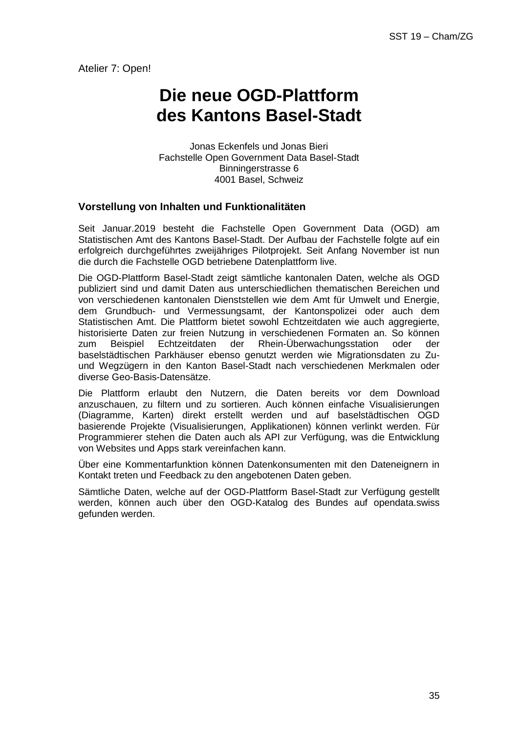# **Die neue OGD-Plattform des Kantons Basel-Stadt**

Jonas Eckenfels und Jonas Bieri Fachstelle Open Government Data Basel-Stadt Binningerstrasse 6 4001 Basel, Schweiz

#### **Vorstellung von Inhalten und Funktionalitäten**

Seit Januar.2019 besteht die Fachstelle Open Government Data (OGD) am Statistischen Amt des Kantons Basel-Stadt. Der Aufbau der Fachstelle folgte auf ein erfolgreich durchgeführtes zweijähriges Pilotprojekt. Seit Anfang November ist nun die durch die Fachstelle OGD betriebene Datenplattform live.

Die OGD-Plattform Basel-Stadt zeigt sämtliche kantonalen Daten, welche als OGD publiziert sind und damit Daten aus unterschiedlichen thematischen Bereichen und von verschiedenen kantonalen Dienststellen wie dem Amt für Umwelt und Energie, dem Grundbuch- und Vermessungsamt, der Kantonspolizei oder auch dem Statistischen Amt. Die Plattform bietet sowohl Echtzeitdaten wie auch aggregierte, historisierte Daten zur freien Nutzung in verschiedenen Formaten an. So können zum Beispiel Echtzeitdaten der Rhein-Überwachungsstation oder der baselstädtischen Parkhäuser ebenso genutzt werden wie Migrationsdaten zu Zuund Wegzügern in den Kanton Basel-Stadt nach verschiedenen Merkmalen oder diverse Geo-Basis-Datensätze.

Die Plattform erlaubt den Nutzern, die Daten bereits vor dem Download anzuschauen, zu filtern und zu sortieren. Auch können einfache Visualisierungen (Diagramme, Karten) direkt erstellt werden und auf baselstädtischen OGD basierende Projekte (Visualisierungen, Applikationen) können verlinkt werden. Für Programmierer stehen die Daten auch als API zur Verfügung, was die Entwicklung von Websites und Apps stark vereinfachen kann.

Über eine Kommentarfunktion können Datenkonsumenten mit den Dateneignern in Kontakt treten und Feedback zu den angebotenen Daten geben.

Sämtliche Daten, welche auf der OGD-Plattform Basel-Stadt zur Verfügung gestellt werden, können auch über den OGD-Katalog des Bundes auf opendata.swiss gefunden werden.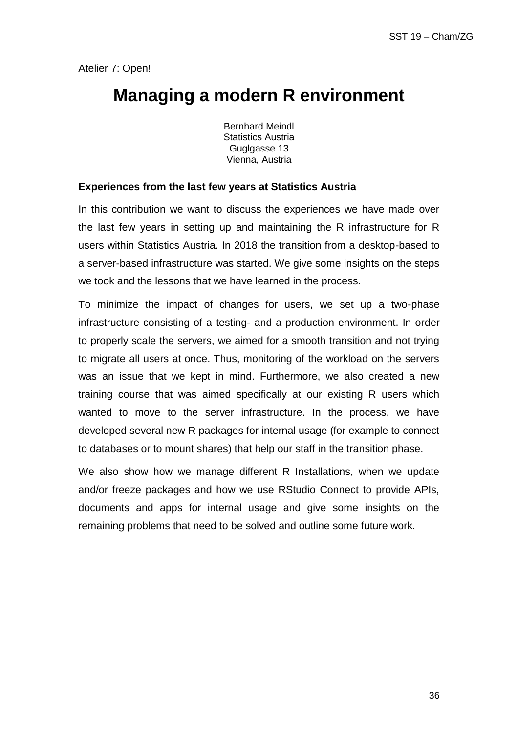### **Managing a modern R environment**

Bernhard Meindl Statistics Austria Guglgasse 13 Vienna, Austria

#### **Experiences from the last few years at Statistics Austria**

In this contribution we want to discuss the experiences we have made over the last few years in setting up and maintaining the R infrastructure for R users within Statistics Austria. In 2018 the transition from a desktop-based to a server-based infrastructure was started. We give some insights on the steps we took and the lessons that we have learned in the process.

To minimize the impact of changes for users, we set up a two-phase infrastructure consisting of a testing- and a production environment. In order to properly scale the servers, we aimed for a smooth transition and not trying to migrate all users at once. Thus, monitoring of the workload on the servers was an issue that we kept in mind. Furthermore, we also created a new training course that was aimed specifically at our existing R users which wanted to move to the server infrastructure. In the process, we have developed several new R packages for internal usage (for example to connect to databases or to mount shares) that help our staff in the transition phase.

We also show how we manage different R Installations, when we update and/or freeze packages and how we use RStudio Connect to provide APIs, documents and apps for internal usage and give some insights on the remaining problems that need to be solved and outline some future work.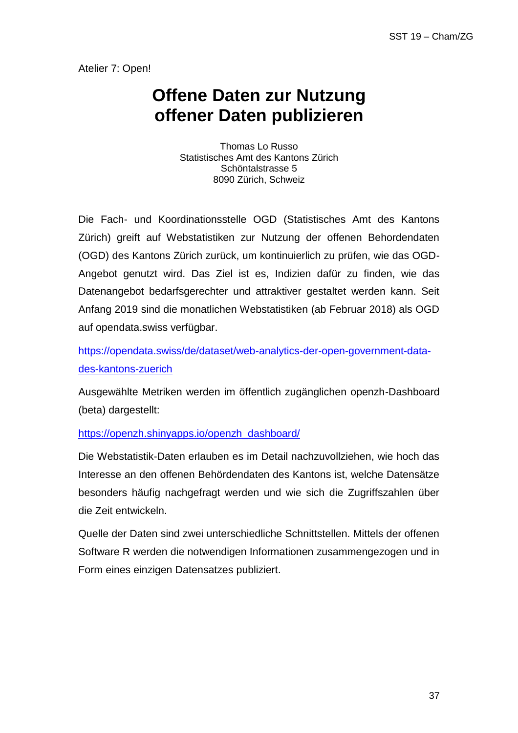# **Offene Daten zur Nutzung offener Daten publizieren**

Thomas Lo Russo Statistisches Amt des Kantons Zürich Schöntalstrasse 5 8090 Zürich, Schweiz

Die Fach- und Koordinationsstelle OGD (Statistisches Amt des Kantons Zürich) greift auf Webstatistiken zur Nutzung der offenen Behordendaten (OGD) des Kantons Zürich zurück, um kontinuierlich zu prüfen, wie das OGD-Angebot genutzt wird. Das Ziel ist es, Indizien dafür zu finden, wie das Datenangebot bedarfsgerechter und attraktiver gestaltet werden kann. Seit Anfang 2019 sind die monatlichen Webstatistiken (ab Februar 2018) als OGD auf opendata.swiss verfügbar.

[https://opendata.swiss/de/dataset/web-analytics-der-open-government-data](https://opendata.swiss/de/dataset/web-analytics-der-open-government-data-des-kantons-zuerich)[des-kantons-zuerich](https://opendata.swiss/de/dataset/web-analytics-der-open-government-data-des-kantons-zuerich)

Ausgewählte Metriken werden im öffentlich zugänglichen openzh-Dashboard (beta) dargestellt:

[https://openzh.shinyapps.io/openzh\\_dashboard/](https://openzh.shinyapps.io/openzh_dashboard/)

Die Webstatistik-Daten erlauben es im Detail nachzuvollziehen, wie hoch das Interesse an den offenen Behördendaten des Kantons ist, welche Datensätze besonders häufig nachgefragt werden und wie sich die Zugriffszahlen über die Zeit entwickeln.

Quelle der Daten sind zwei unterschiedliche Schnittstellen. Mittels der offenen Software R werden die notwendigen Informationen zusammengezogen und in Form eines einzigen Datensatzes publiziert.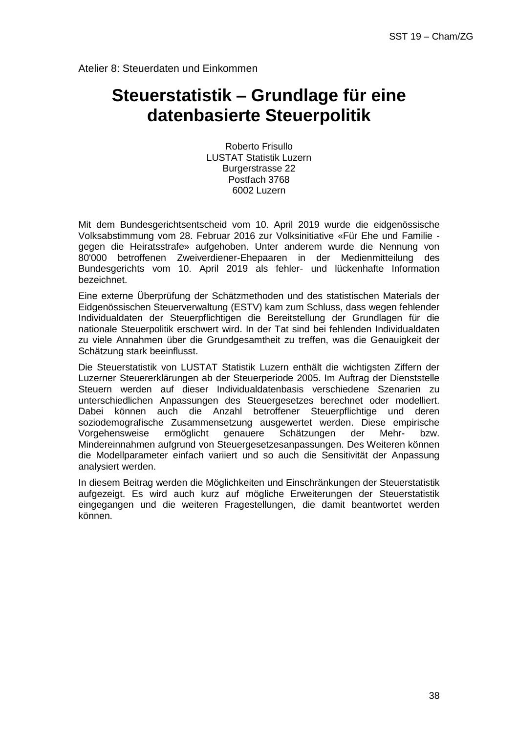Atelier 8: Steuerdaten und Einkommen

## **Steuerstatistik – Grundlage für eine datenbasierte Steuerpolitik**

Roberto Frisullo LUSTAT Statistik Luzern Burgerstrasse 22 Postfach 3768 6002 Luzern

Mit dem Bundesgerichtsentscheid vom 10. April 2019 wurde die eidgenössische Volksabstimmung vom 28. Februar 2016 zur Volksinitiative «Für Ehe und Familie gegen die Heiratsstrafe» aufgehoben. Unter anderem wurde die Nennung von 80'000 betroffenen Zweiverdiener-Ehepaaren in der Medienmitteilung des Bundesgerichts vom 10. April 2019 als fehler- und lückenhafte Information bezeichnet.

Eine externe Überprüfung der Schätzmethoden und des statistischen Materials der Eidgenössischen Steuerverwaltung (ESTV) kam zum Schluss, dass wegen fehlender Individualdaten der Steuerpflichtigen die Bereitstellung der Grundlagen für die nationale Steuerpolitik erschwert wird. In der Tat sind bei fehlenden Individualdaten zu viele Annahmen über die Grundgesamtheit zu treffen, was die Genauigkeit der Schätzung stark beeinflusst.

Die Steuerstatistik von LUSTAT Statistik Luzern enthält die wichtigsten Ziffern der Luzerner Steuererklärungen ab der Steuerperiode 2005. Im Auftrag der Dienststelle Steuern werden auf dieser Individualdatenbasis verschiedene Szenarien zu unterschiedlichen Anpassungen des Steuergesetzes berechnet oder modelliert. Dabei können auch die Anzahl betroffener Steuerpflichtige und deren soziodemografische Zusammensetzung ausgewertet werden. Diese empirische Vorgehensweise ermöglicht genauere Schätzungen der Mehr- bzw. Mindereinnahmen aufgrund von Steuergesetzesanpassungen. Des Weiteren können die Modellparameter einfach variiert und so auch die Sensitivität der Anpassung analysiert werden.

In diesem Beitrag werden die Möglichkeiten und Einschränkungen der Steuerstatistik aufgezeigt. Es wird auch kurz auf mögliche Erweiterungen der Steuerstatistik eingegangen und die weiteren Fragestellungen, die damit beantwortet werden können.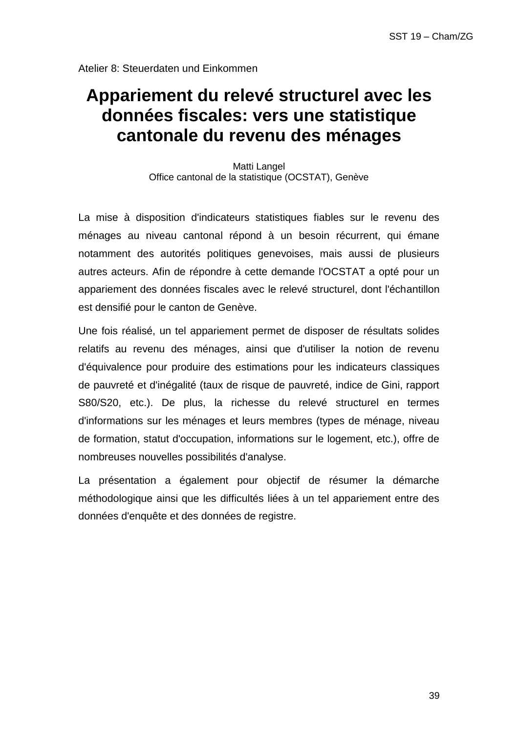Atelier 8: Steuerdaten und Einkommen

# **Appariement du relevé structurel avec les données fiscales: vers une statistique cantonale du revenu des ménages**

Matti Langel Office cantonal de la statistique (OCSTAT), Genève

La mise à disposition d'indicateurs statistiques fiables sur le revenu des ménages au niveau cantonal répond à un besoin récurrent, qui émane notamment des autorités politiques genevoises, mais aussi de plusieurs autres acteurs. Afin de répondre à cette demande l'OCSTAT a opté pour un appariement des données fiscales avec le relevé structurel, dont l'échantillon est densifié pour le canton de Genève.

Une fois réalisé, un tel appariement permet de disposer de résultats solides relatifs au revenu des ménages, ainsi que d'utiliser la notion de revenu d'équivalence pour produire des estimations pour les indicateurs classiques de pauvreté et d'inégalité (taux de risque de pauvreté, indice de Gini, rapport S80/S20, etc.). De plus, la richesse du relevé structurel en termes d'informations sur les ménages et leurs membres (types de ménage, niveau de formation, statut d'occupation, informations sur le logement, etc.), offre de nombreuses nouvelles possibilités d'analyse.

La présentation a également pour objectif de résumer la démarche méthodologique ainsi que les difficultés liées à un tel appariement entre des données d'enquête et des données de registre.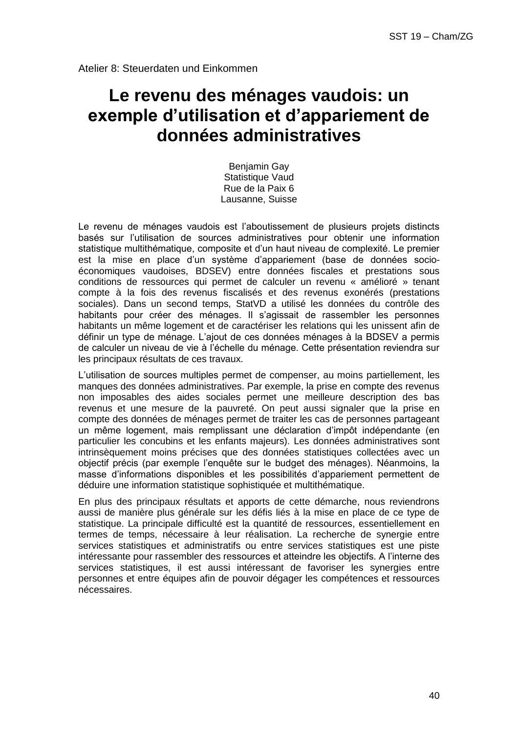# **Le revenu des ménages vaudois: un exemple d'utilisation et d'appariement de données administratives**

Benjamin Gay Statistique Vaud Rue de la Paix 6 Lausanne, Suisse

Le revenu de ménages vaudois est l'aboutissement de plusieurs projets distincts basés sur l'utilisation de sources administratives pour obtenir une information statistique multithématique, composite et d'un haut niveau de complexité. Le premier est la mise en place d'un système d'appariement (base de données socioéconomiques vaudoises, BDSEV) entre données fiscales et prestations sous conditions de ressources qui permet de calculer un revenu « amélioré » tenant compte à la fois des revenus fiscalisés et des revenus exonérés (prestations sociales). Dans un second temps, StatVD a utilisé les données du contrôle des habitants pour créer des ménages. Il s'agissait de rassembler les personnes habitants un même logement et de caractériser les relations qui les unissent afin de définir un type de ménage. L'ajout de ces données ménages à la BDSEV a permis de calculer un niveau de vie à l'échelle du ménage. Cette présentation reviendra sur les principaux résultats de ces travaux.

L'utilisation de sources multiples permet de compenser, au moins partiellement, les manques des données administratives. Par exemple, la prise en compte des revenus non imposables des aides sociales permet une meilleure description des bas revenus et une mesure de la pauvreté. On peut aussi signaler que la prise en compte des données de ménages permet de traiter les cas de personnes partageant un même logement, mais remplissant une déclaration d'impôt indépendante (en particulier les concubins et les enfants majeurs). Les données administratives sont intrinsèquement moins précises que des données statistiques collectées avec un objectif précis (par exemple l'enquête sur le budget des ménages). Néanmoins, la masse d'informations disponibles et les possibilités d'appariement permettent de déduire une information statistique sophistiquée et multithématique.

En plus des principaux résultats et apports de cette démarche, nous reviendrons aussi de manière plus générale sur les défis liés à la mise en place de ce type de statistique. La principale difficulté est la quantité de ressources, essentiellement en termes de temps, nécessaire à leur réalisation. La recherche de synergie entre services statistiques et administratifs ou entre services statistiques est une piste intéressante pour rassembler des ressources et atteindre les objectifs. A l'interne des services statistiques, il est aussi intéressant de favoriser les synergies entre personnes et entre équipes afin de pouvoir dégager les compétences et ressources nécessaires.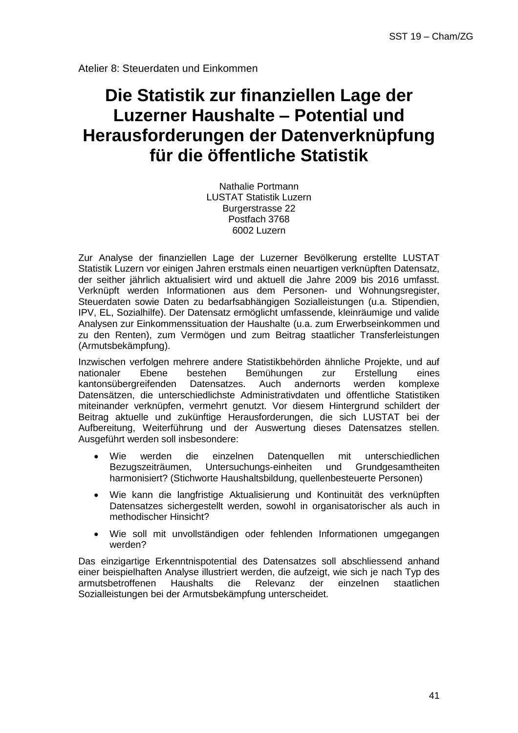# **Die Statistik zur finanziellen Lage der Luzerner Haushalte – Potential und Herausforderungen der Datenverknüpfung für die öffentliche Statistik**

Nathalie Portmann LUSTAT Statistik Luzern Burgerstrasse 22 Postfach 3768 6002 Luzern

Zur Analyse der finanziellen Lage der Luzerner Bevölkerung erstellte LUSTAT Statistik Luzern vor einigen Jahren erstmals einen neuartigen verknüpften Datensatz, der seither jährlich aktualisiert wird und aktuell die Jahre 2009 bis 2016 umfasst. Verknüpft werden Informationen aus dem Personen- und Wohnungsregister, Steuerdaten sowie Daten zu bedarfsabhängigen Sozialleistungen (u.a. Stipendien, IPV, EL, Sozialhilfe). Der Datensatz ermöglicht umfassende, kleinräumige und valide Analysen zur Einkommenssituation der Haushalte (u.a. zum Erwerbseinkommen und zu den Renten), zum Vermögen und zum Beitrag staatlicher Transferleistungen (Armutsbekämpfung).

Inzwischen verfolgen mehrere andere Statistikbehörden ähnliche Projekte, und auf nationaler Ebene bestehen Bemühungen zur Erstellung eines kantonsübergreifenden Datensatzes. Auch andernorts werden komplexe Datensätzen, die unterschiedlichste Administrativdaten und öffentliche Statistiken miteinander verknüpfen, vermehrt genutzt. Vor diesem Hintergrund schildert der Beitrag aktuelle und zukünftige Herausforderungen, die sich LUSTAT bei der Aufbereitung, Weiterführung und der Auswertung dieses Datensatzes stellen. Ausgeführt werden soll insbesondere:

- Wie werden die einzelnen Datenquellen mit unterschiedlichen Bezugszeiträumen, Untersuchungs-einheiten und Grundgesamtheiten harmonisiert? (Stichworte Haushaltsbildung, quellenbesteuerte Personen)
- Wie kann die langfristige Aktualisierung und Kontinuität des verknüpften Datensatzes sichergestellt werden, sowohl in organisatorischer als auch in methodischer Hinsicht?
- Wie soll mit unvollständigen oder fehlenden Informationen umgegangen werden?

Das einzigartige Erkenntnispotential des Datensatzes soll abschliessend anhand einer beispielhaften Analyse illustriert werden, die aufzeigt, wie sich je nach Typ des armutsbetroffenen Haushalts die Relevanz der einzelnen staatlichen Sozialleistungen bei der Armutsbekämpfung unterscheidet.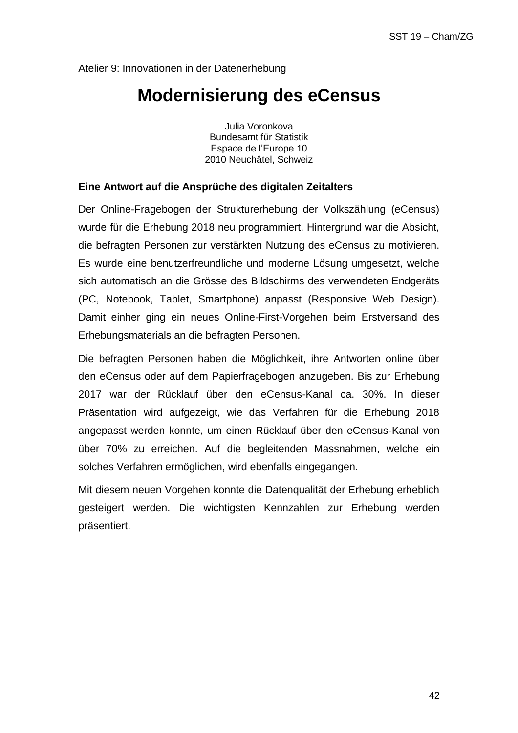### **Modernisierung des eCensus**

Julia Voronkova Bundesamt für Statistik Espace de l'Europe 10 2010 Neuchâtel, Schweiz

#### **Eine Antwort auf die Ansprüche des digitalen Zeitalters**

Der Online-Fragebogen der Strukturerhebung der Volkszählung (eCensus) wurde für die Erhebung 2018 neu programmiert. Hintergrund war die Absicht, die befragten Personen zur verstärkten Nutzung des eCensus zu motivieren. Es wurde eine benutzerfreundliche und moderne Lösung umgesetzt, welche sich automatisch an die Grösse des Bildschirms des verwendeten Endgeräts (PC, Notebook, Tablet, Smartphone) anpasst (Responsive Web Design). Damit einher ging ein neues Online-First-Vorgehen beim Erstversand des Erhebungsmaterials an die befragten Personen.

Die befragten Personen haben die Möglichkeit, ihre Antworten online über den eCensus oder auf dem Papierfragebogen anzugeben. Bis zur Erhebung 2017 war der Rücklauf über den eCensus-Kanal ca. 30%. In dieser Präsentation wird aufgezeigt, wie das Verfahren für die Erhebung 2018 angepasst werden konnte, um einen Rücklauf über den eCensus-Kanal von über 70% zu erreichen. Auf die begleitenden Massnahmen, welche ein solches Verfahren ermöglichen, wird ebenfalls eingegangen.

Mit diesem neuen Vorgehen konnte die Datenqualität der Erhebung erheblich gesteigert werden. Die wichtigsten Kennzahlen zur Erhebung werden präsentiert.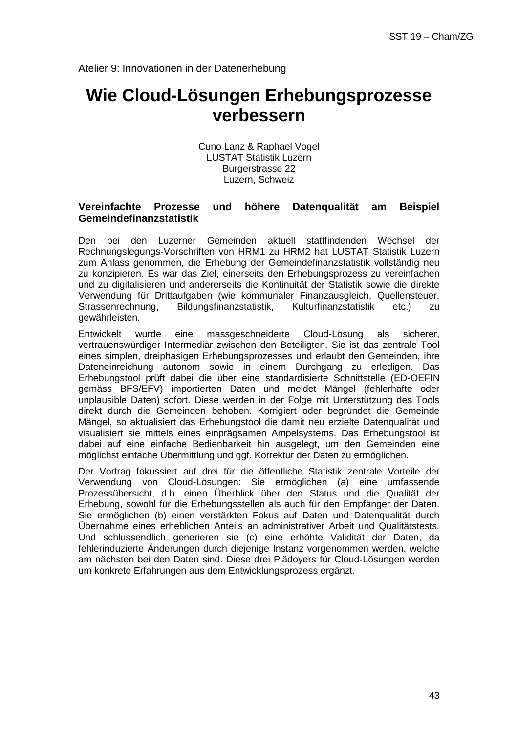### **Wie Cloud-Lösungen Erhebungsprozesse verbessern**

Cuno Lanz & Raphael Vogel LUSTAT Statistik Luzern Burgerstrasse 22 Luzern, Schweiz

#### **Vereinfachte Prozesse und höhere Datenqualität am Beispiel Gemeindefinanzstatistik**

Den bei den Luzerner Gemeinden aktuell stattfindenden Wechsel der Rechnungslegungs-Vorschriften von HRM1 zu HRM2 hat LUSTAT Statistik Luzern zum Anlass genommen, die Erhebung der Gemeindefinanzstatistik vollständig neu zu konzipieren. Es war das Ziel, einerseits den Erhebungsprozess zu vereinfachen und zu digitalisieren und andererseits die Kontinuität der Statistik sowie die direkte Verwendung für Drittaufgaben (wie kommunaler Finanzausgleich, Quellensteuer, Strassenrechnung, Bildungsfinanzstatistik, Kulturfinanzstatistik etc.) zu gewährleisten.

Entwickelt wurde eine massgeschneiderte Cloud-Lösung als sicherer, vertrauenswürdiger Intermediär zwischen den Beteiligten. Sie ist das zentrale Tool eines simplen, dreiphasigen Erhebungsprozesses und erlaubt den Gemeinden, ihre Dateneinreichung autonom sowie in einem Durchgang zu erledigen. Das Erhebungstool prüft dabei die über eine standardisierte Schnittstelle (ED-OEFIN gemäss BFS/EFV) importierten Daten und meldet Mängel (fehlerhafte oder unplausible Daten) sofort. Diese werden in der Folge mit Unterstützung des Tools direkt durch die Gemeinden behoben. Korrigiert oder begründet die Gemeinde Mängel, so aktualisiert das Erhebungstool die damit neu erzielte Datenqualität und visualisiert sie mittels eines einprägsamen Ampelsystems. Das Erhebungstool ist dabei auf eine einfache Bedienbarkeit hin ausgelegt, um den Gemeinden eine möglichst einfache Übermittlung und ggf. Korrektur der Daten zu ermöglichen.

Der Vortrag fokussiert auf drei für die öffentliche Statistik zentrale Vorteile der Verwendung von Cloud-Lösungen: Sie ermöglichen (a) eine umfassende Prozessübersicht, d.h. einen Überblick über den Status und die Qualität der Erhebung, sowohl für die Erhebungsstellen als auch für den Empfänger der Daten. Sie ermöglichen (b) einen verstärkten Fokus auf Daten und Datenqualität durch Übernahme eines erheblichen Anteils an administrativer Arbeit und Qualitätstests. Und schlussendlich generieren sie (c) eine erhöhte Validität der Daten, da fehlerinduzierte Änderungen durch diejenige Instanz vorgenommen werden, welche am nächsten bei den Daten sind. Diese drei Plädoyers für Cloud-Lösungen werden um konkrete Erfahrungen aus dem Entwicklungsprozess ergänzt.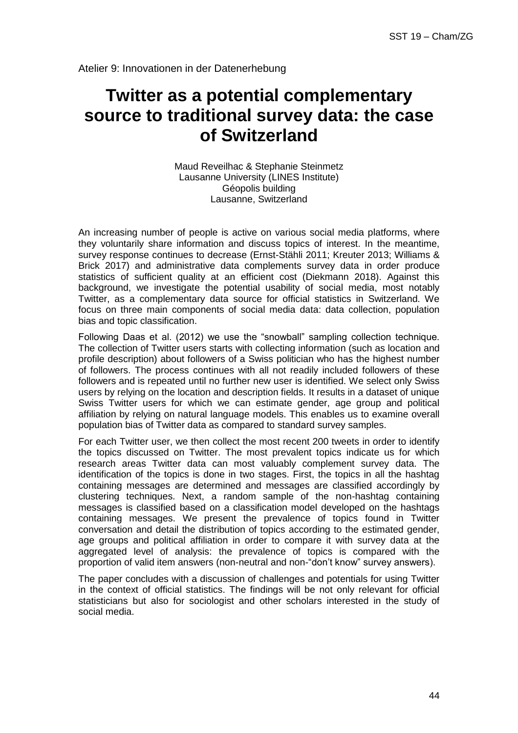# **Twitter as a potential complementary source to traditional survey data: the case of Switzerland**

Maud Reveilhac & Stephanie Steinmetz Lausanne University (LINES Institute) Géopolis building Lausanne, Switzerland

An increasing number of people is active on various social media platforms, where they voluntarily share information and discuss topics of interest. In the meantime, survey response continues to decrease (Ernst-Stähli 2011; Kreuter 2013; Williams & Brick 2017) and administrative data complements survey data in order produce statistics of sufficient quality at an efficient cost (Diekmann 2018). Against this background, we investigate the potential usability of social media, most notably Twitter, as a complementary data source for official statistics in Switzerland. We focus on three main components of social media data: data collection, population bias and topic classification.

Following Daas et al. (2012) we use the "snowball" sampling collection technique. The collection of Twitter users starts with collecting information (such as location and profile description) about followers of a Swiss politician who has the highest number of followers. The process continues with all not readily included followers of these followers and is repeated until no further new user is identified. We select only Swiss users by relying on the location and description fields. It results in a dataset of unique Swiss Twitter users for which we can estimate gender, age group and political affiliation by relying on natural language models. This enables us to examine overall population bias of Twitter data as compared to standard survey samples.

For each Twitter user, we then collect the most recent 200 tweets in order to identify the topics discussed on Twitter. The most prevalent topics indicate us for which research areas Twitter data can most valuably complement survey data. The identification of the topics is done in two stages. First, the topics in all the hashtag containing messages are determined and messages are classified accordingly by clustering techniques. Next, a random sample of the non-hashtag containing messages is classified based on a classification model developed on the hashtags containing messages. We present the prevalence of topics found in Twitter conversation and detail the distribution of topics according to the estimated gender, age groups and political affiliation in order to compare it with survey data at the aggregated level of analysis: the prevalence of topics is compared with the proportion of valid item answers (non-neutral and non-"don't know" survey answers).

The paper concludes with a discussion of challenges and potentials for using Twitter in the context of official statistics. The findings will be not only relevant for official statisticians but also for sociologist and other scholars interested in the study of social media.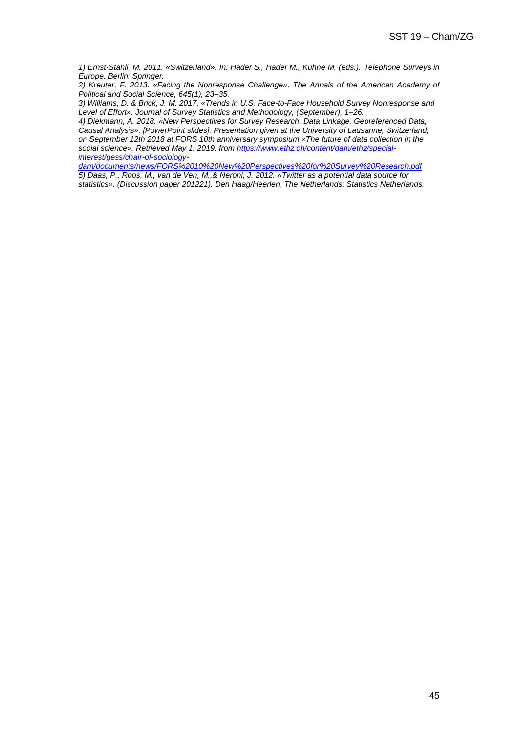*1) Ernst-Stähli, M. 2011. «Switzerland». In: Häder S., Häder M., Kühne M. (eds.). Telephone Surveys in Europe. Berlin: Springer.* 

*2) Kreuter, F. 2013. «Facing the Nonresponse Challenge». The Annals of the American Academy of Political and Social Science, 645(1), 23–35.*

*3) Williams, D. & Brick, J. M. 2017. «Trends in U.S. Face-to-Face Household Survey Nonresponse and Level of Effort». Journal of Survey Statistics and Methodology, (September), 1–26.*

*4) Diekmann, A. 2018. «New Perspectives for Survey Research. Data Linkage, Georeferenced Data, Causal Analysis». [PowerPoint slides]. Presentation given at the University of Lausanne, Switzerland, on September 12th 2018 at FORS 10th anniversary symposium «The future of data collection in the social science». Retrieved May 1, 2019, from [https://www.ethz.ch/content/dam/ethz/special](https://www.ethz.ch/content/dam/ethz/special-interest/gess/chair-of-sociology-dam/documents/news/FORS%2010%20New%20Perspectives%20for%20Survey%20Research.pdf)[interest/gess/chair-of-sociology-](https://www.ethz.ch/content/dam/ethz/special-interest/gess/chair-of-sociology-dam/documents/news/FORS%2010%20New%20Perspectives%20for%20Survey%20Research.pdf)*

*[dam/documents/news/FORS%2010%20New%20Perspectives%20for%20Survey%20Research.pdf](https://www.ethz.ch/content/dam/ethz/special-interest/gess/chair-of-sociology-dam/documents/news/FORS%2010%20New%20Perspectives%20for%20Survey%20Research.pdf) 5) Daas, P., Roos, M., van de Ven, M.,& Neroni, J. 2012. «Twitter as a potential data source for statistics». (Discussion paper 201221). Den Haag/Heerlen, The Netherlands: Statistics Netherlands.*